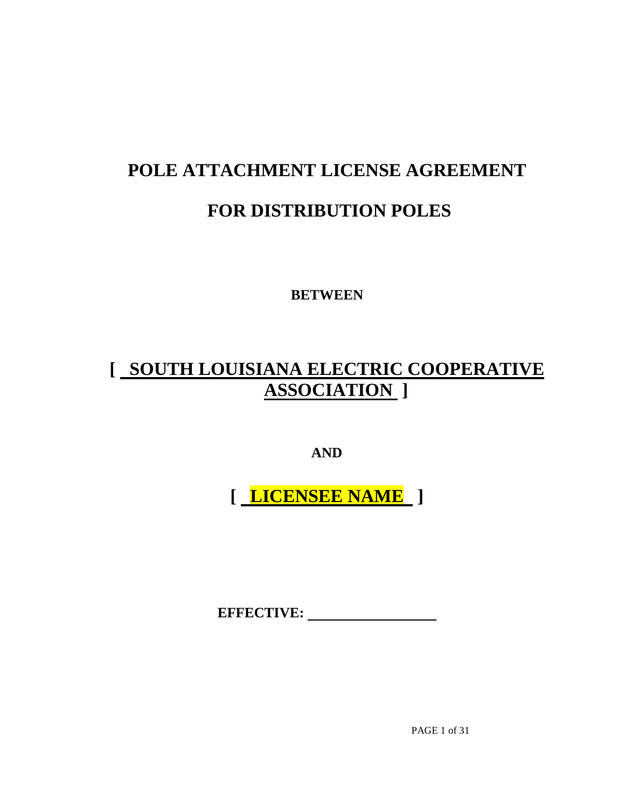# **POLE ATTACHMENT LICENSE AGREEMENT FOR DISTRIBUTION POLES**

**BETWEEN**

# **[ SOUTH LOUISIANA ELECTRIC COOPERATIVE ASSOCIATION ]**

**AND**

**[ LICENSEE NAME ]**

**EFFECTIVE:** 

PAGE 1 of 31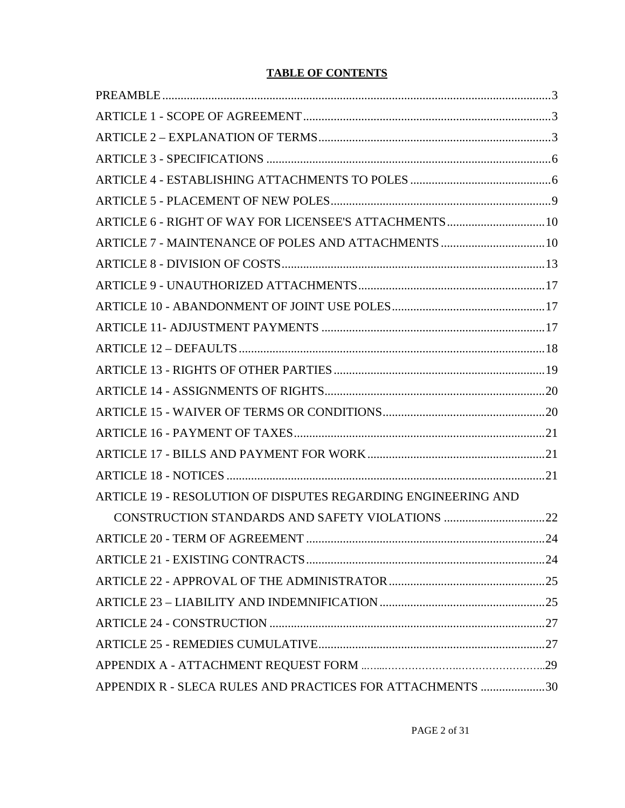#### **TABLE OF CONTENTS**

| ARTICLE 7 - MAINTENANCE OF POLES AND ATTACHMENTS  10          |  |
|---------------------------------------------------------------|--|
|                                                               |  |
|                                                               |  |
|                                                               |  |
|                                                               |  |
|                                                               |  |
|                                                               |  |
|                                                               |  |
|                                                               |  |
|                                                               |  |
|                                                               |  |
|                                                               |  |
| ARTICLE 19 - RESOLUTION OF DISPUTES REGARDING ENGINEERING AND |  |
|                                                               |  |
|                                                               |  |
|                                                               |  |
|                                                               |  |
|                                                               |  |
|                                                               |  |
|                                                               |  |
|                                                               |  |
| APPENDIX R - SLECA RULES AND PRACTICES FOR ATTACHMENTS 30     |  |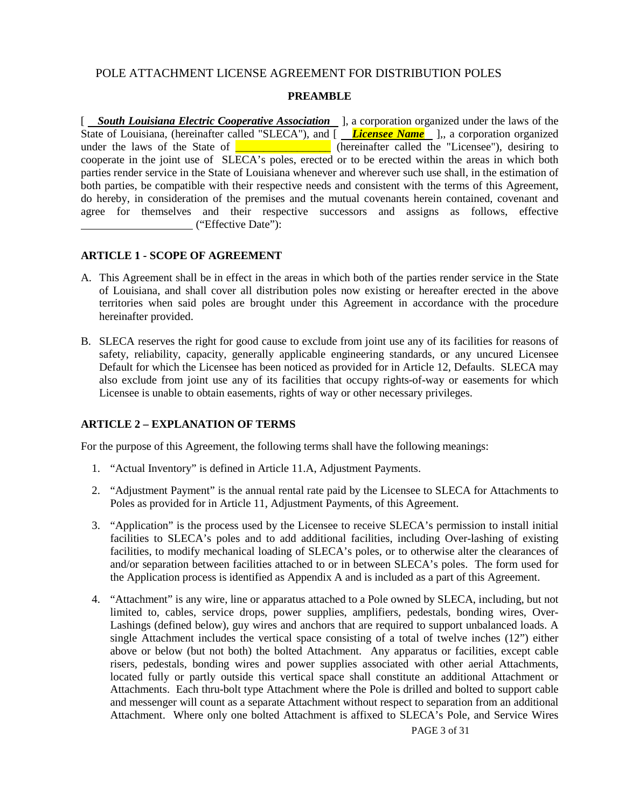#### POLE ATTACHMENT LICENSE AGREEMENT FOR DISTRIBUTION POLES

#### **PREAMBLE**

<span id="page-2-0"></span>[ *South Louisiana Electric Cooperative Association* ], a corporation organized under the laws of the State of Louisiana, (hereinafter called "SLECA"), and [*Licensee Name* ],, a corporation organized under the laws of the State of  $\boxed{\phantom{a} \phantom{a}}$  (hereinafter called the "Licensee"), desiring to cooperate in the joint use of SLECA's poles, erected or to be erected within the areas in which both parties render service in the State of Louisiana whenever and wherever such use shall, in the estimation of both parties, be compatible with their respective needs and consistent with the terms of this Agreement, do hereby, in consideration of the premises and the mutual covenants herein contained, covenant and agree for themselves and their respective successors and assigns as follows, effective ("Effective Date"):

#### <span id="page-2-1"></span>**ARTICLE 1 - SCOPE OF AGREEMENT**

- A. This Agreement shall be in effect in the areas in which both of the parties render service in the State of Louisiana, and shall cover all distribution poles now existing or hereafter erected in the above territories when said poles are brought under this Agreement in accordance with the procedure hereinafter provided.
- B. SLECA reserves the right for good cause to exclude from joint use any of its facilities for reasons of safety, reliability, capacity, generally applicable engineering standards, or any uncured Licensee Default for which the Licensee has been noticed as provided for in Article 12, Defaults. SLECA may also exclude from joint use any of its facilities that occupy rights-of-way or easements for which Licensee is unable to obtain easements, rights of way or other necessary privileges.

#### <span id="page-2-2"></span>**ARTICLE 2 – EXPLANATION OF TERMS**

For the purpose of this Agreement, the following terms shall have the following meanings:

- 1. "Actual Inventory" is defined in Article 11.A, Adjustment Payments.
- 2. "Adjustment Payment" is the annual rental rate paid by the Licensee to SLECA for Attachments to Poles as provided for in Article 11, Adjustment Payments, of this Agreement.
- 3. "Application" is the process used by the Licensee to receive SLECA's permission to install initial facilities to SLECA's poles and to add additional facilities, including Over-lashing of existing facilities, to modify mechanical loading of SLECA's poles, or to otherwise alter the clearances of and/or separation between facilities attached to or in between SLECA's poles. The form used for the Application process is identified as Appendix A and is included as a part of this Agreement.
- 4. "Attachment" is any wire, line or apparatus attached to a Pole owned by SLECA, including, but not limited to, cables, service drops, power supplies, amplifiers, pedestals, bonding wires, Over-Lashings (defined below), guy wires and anchors that are required to support unbalanced loads. A single Attachment includes the vertical space consisting of a total of twelve inches (12") either above or below (but not both) the bolted Attachment. Any apparatus or facilities, except cable risers, pedestals, bonding wires and power supplies associated with other aerial Attachments, located fully or partly outside this vertical space shall constitute an additional Attachment or Attachments. Each thru-bolt type Attachment where the Pole is drilled and bolted to support cable and messenger will count as a separate Attachment without respect to separation from an additional Attachment. Where only one bolted Attachment is affixed to SLECA's Pole, and Service Wires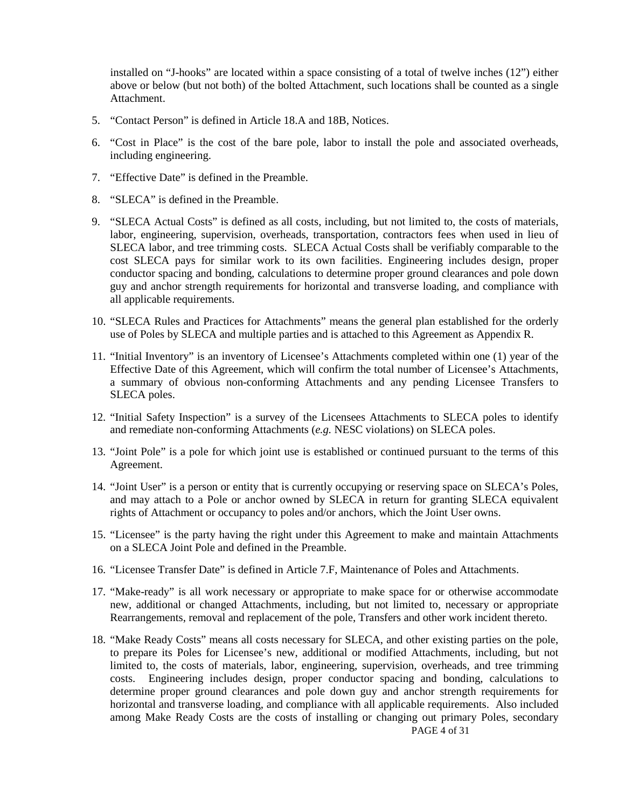installed on "J-hooks" are located within a space consisting of a total of twelve inches (12") either above or below (but not both) of the bolted Attachment, such locations shall be counted as a single **Attachment** 

- 5. "Contact Person" is defined in Article 18.A and 18B, Notices.
- 6. "Cost in Place" is the cost of the bare pole, labor to install the pole and associated overheads, including engineering.
- 7. "Effective Date" is defined in the Preamble.
- 8. "SLECA" is defined in the Preamble.
- 9. "SLECA Actual Costs" is defined as all costs, including, but not limited to, the costs of materials, labor, engineering, supervision, overheads, transportation, contractors fees when used in lieu of SLECA labor, and tree trimming costs. SLECA Actual Costs shall be verifiably comparable to the cost SLECA pays for similar work to its own facilities. Engineering includes design, proper conductor spacing and bonding, calculations to determine proper ground clearances and pole down guy and anchor strength requirements for horizontal and transverse loading, and compliance with all applicable requirements.
- 10. "SLECA Rules and Practices for Attachments" means the general plan established for the orderly use of Poles by SLECA and multiple parties and is attached to this Agreement as Appendix R.
- 11. "Initial Inventory" is an inventory of Licensee's Attachments completed within one (1) year of the Effective Date of this Agreement, which will confirm the total number of Licensee's Attachments, a summary of obvious non-conforming Attachments and any pending Licensee Transfers to SLECA poles.
- 12. "Initial Safety Inspection" is a survey of the Licensees Attachments to SLECA poles to identify and remediate non-conforming Attachments (*e.g.* NESC violations) on SLECA poles.
- 13. "Joint Pole" is a pole for which joint use is established or continued pursuant to the terms of this Agreement.
- 14. "Joint User" is a person or entity that is currently occupying or reserving space on SLECA's Poles, and may attach to a Pole or anchor owned by SLECA in return for granting SLECA equivalent rights of Attachment or occupancy to poles and/or anchors, which the Joint User owns.
- 15. "Licensee" is the party having the right under this Agreement to make and maintain Attachments on a SLECA Joint Pole and defined in the Preamble.
- 16. "Licensee Transfer Date" is defined in Article 7.F, Maintenance of Poles and Attachments.
- 17. "Make-ready" is all work necessary or appropriate to make space for or otherwise accommodate new, additional or changed Attachments, including, but not limited to, necessary or appropriate Rearrangements, removal and replacement of the pole, Transfers and other work incident thereto.
- 18. "Make Ready Costs" means all costs necessary for SLECA, and other existing parties on the pole, to prepare its Poles for Licensee's new, additional or modified Attachments, including, but not limited to, the costs of materials, labor, engineering, supervision, overheads, and tree trimming costs. Engineering includes design, proper conductor spacing and bonding, calculations to determine proper ground clearances and pole down guy and anchor strength requirements for horizontal and transverse loading, and compliance with all applicable requirements. Also included among Make Ready Costs are the costs of installing or changing out primary Poles, secondary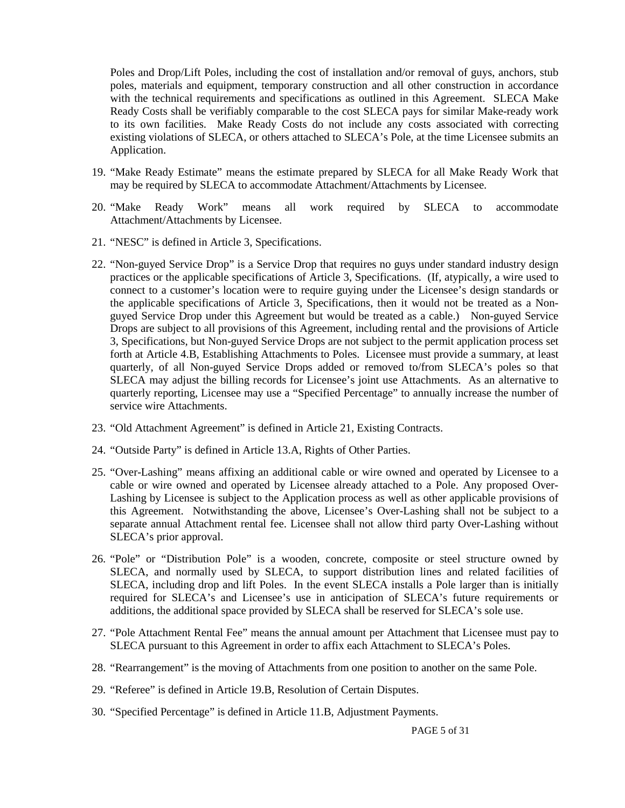Poles and Drop/Lift Poles, including the cost of installation and/or removal of guys, anchors, stub poles, materials and equipment, temporary construction and all other construction in accordance with the technical requirements and specifications as outlined in this Agreement. SLECA Make Ready Costs shall be verifiably comparable to the cost SLECA pays for similar Make-ready work to its own facilities. Make Ready Costs do not include any costs associated with correcting existing violations of SLECA, or others attached to SLECA's Pole, at the time Licensee submits an Application.

- 19. "Make Ready Estimate" means the estimate prepared by SLECA for all Make Ready Work that may be required by SLECA to accommodate Attachment/Attachments by Licensee.
- 20. "Make Ready Work" means all work required by SLECA to accommodate Attachment/Attachments by Licensee.
- 21. "NESC" is defined in Article 3, Specifications.
- 22. "Non-guyed Service Drop" is a Service Drop that requires no guys under standard industry design practices or the applicable specifications of Article 3, Specifications. (If, atypically, a wire used to connect to a customer's location were to require guying under the Licensee's design standards or the applicable specifications of Article 3, Specifications, then it would not be treated as a Nonguyed Service Drop under this Agreement but would be treated as a cable.) Non-guyed Service Drops are subject to all provisions of this Agreement, including rental and the provisions of Article 3, Specifications, but Non-guyed Service Drops are not subject to the permit application process set forth at Article 4.B, Establishing Attachments to Poles. Licensee must provide a summary, at least quarterly, of all Non-guyed Service Drops added or removed to/from SLECA's poles so that SLECA may adjust the billing records for Licensee's joint use Attachments. As an alternative to quarterly reporting, Licensee may use a "Specified Percentage" to annually increase the number of service wire Attachments.
- 23. "Old Attachment Agreement" is defined in Article 21, Existing Contracts.
- 24. "Outside Party" is defined in Article 13.A, Rights of Other Parties.
- 25. "Over-Lashing" means affixing an additional cable or wire owned and operated by Licensee to a cable or wire owned and operated by Licensee already attached to a Pole. Any proposed Over-Lashing by Licensee is subject to the Application process as well as other applicable provisions of this Agreement. Notwithstanding the above, Licensee's Over-Lashing shall not be subject to a separate annual Attachment rental fee. Licensee shall not allow third party Over-Lashing without SLECA's prior approval.
- 26. "Pole" or "Distribution Pole" is a wooden, concrete, composite or steel structure owned by SLECA, and normally used by SLECA, to support distribution lines and related facilities of SLECA, including drop and lift Poles. In the event SLECA installs a Pole larger than is initially required for SLECA's and Licensee's use in anticipation of SLECA's future requirements or additions, the additional space provided by SLECA shall be reserved for SLECA's sole use.
- 27. "Pole Attachment Rental Fee" means the annual amount per Attachment that Licensee must pay to SLECA pursuant to this Agreement in order to affix each Attachment to SLECA's Poles.
- 28. "Rearrangement" is the moving of Attachments from one position to another on the same Pole.
- 29. "Referee" is defined in Article 19.B, Resolution of Certain Disputes.
- 30. "Specified Percentage" is defined in Article 11.B, Adjustment Payments.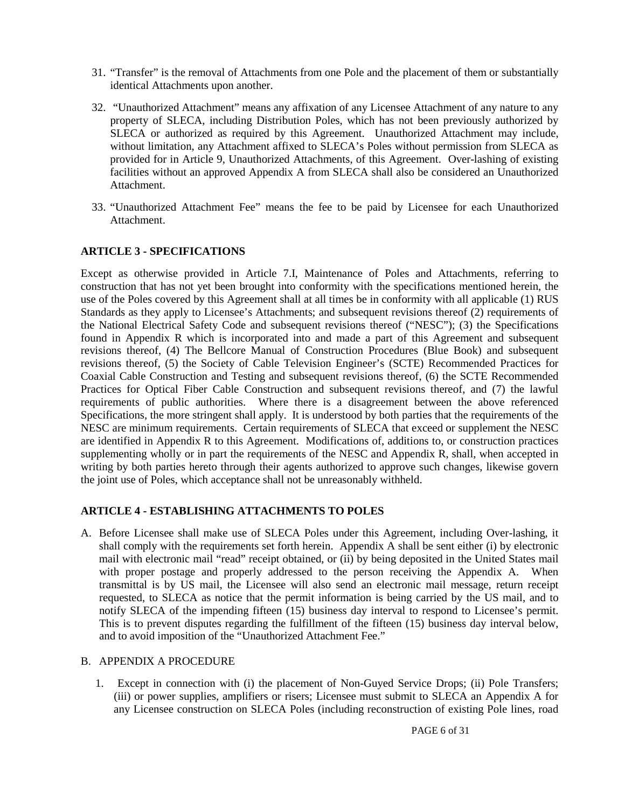- 31. "Transfer" is the removal of Attachments from one Pole and the placement of them or substantially identical Attachments upon another.
- 32. "Unauthorized Attachment" means any affixation of any Licensee Attachment of any nature to any property of SLECA, including Distribution Poles, which has not been previously authorized by SLECA or authorized as required by this Agreement. Unauthorized Attachment may include, without limitation, any Attachment affixed to SLECA's Poles without permission from SLECA as provided for in Article 9, Unauthorized Attachments, of this Agreement. Over-lashing of existing facilities without an approved Appendix A from SLECA shall also be considered an Unauthorized Attachment.
- 33. "Unauthorized Attachment Fee" means the fee to be paid by Licensee for each Unauthorized Attachment.

#### <span id="page-5-0"></span>**ARTICLE 3 - SPECIFICATIONS**

Except as otherwise provided in Article 7.I, Maintenance of Poles and Attachments, referring to construction that has not yet been brought into conformity with the specifications mentioned herein, the use of the Poles covered by this Agreement shall at all times be in conformity with all applicable (1) RUS Standards as they apply to Licensee's Attachments; and subsequent revisions thereof (2) requirements of the National Electrical Safety Code and subsequent revisions thereof ("NESC"); (3) the Specifications found in Appendix R which is incorporated into and made a part of this Agreement and subsequent revisions thereof, (4) The Bellcore Manual of Construction Procedures (Blue Book) and subsequent revisions thereof, (5) the Society of Cable Television Engineer's (SCTE) Recommended Practices for Coaxial Cable Construction and Testing and subsequent revisions thereof, (6) the SCTE Recommended Practices for Optical Fiber Cable Construction and subsequent revisions thereof, and (7) the lawful requirements of public authorities. Where there is a disagreement between the above referenced Specifications, the more stringent shall apply. It is understood by both parties that the requirements of the NESC are minimum requirements. Certain requirements of SLECA that exceed or supplement the NESC are identified in Appendix R to this Agreement. Modifications of, additions to, or construction practices supplementing wholly or in part the requirements of the NESC and Appendix R, shall, when accepted in writing by both parties hereto through their agents authorized to approve such changes, likewise govern the joint use of Poles, which acceptance shall not be unreasonably withheld.

#### <span id="page-5-1"></span>**ARTICLE 4 - ESTABLISHING ATTACHMENTS TO POLES**

A. Before Licensee shall make use of SLECA Poles under this Agreement, including Over-lashing, it shall comply with the requirements set forth herein. Appendix A shall be sent either (i) by electronic mail with electronic mail "read" receipt obtained, or (ii) by being deposited in the United States mail with proper postage and properly addressed to the person receiving the Appendix A. When transmittal is by US mail, the Licensee will also send an electronic mail message, return receipt requested, to SLECA as notice that the permit information is being carried by the US mail, and to notify SLECA of the impending fifteen (15) business day interval to respond to Licensee's permit. This is to prevent disputes regarding the fulfillment of the fifteen (15) business day interval below, and to avoid imposition of the "Unauthorized Attachment Fee."

#### B. APPENDIX A PROCEDURE

1. Except in connection with (i) the placement of Non-Guyed Service Drops; (ii) Pole Transfers; (iii) or power supplies, amplifiers or risers; Licensee must submit to SLECA an Appendix A for any Licensee construction on SLECA Poles (including reconstruction of existing Pole lines, road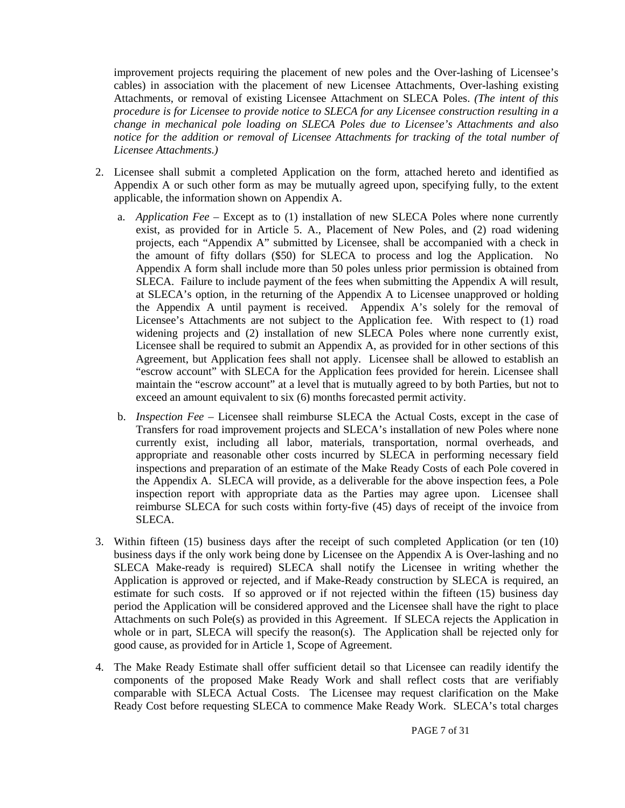improvement projects requiring the placement of new poles and the Over-lashing of Licensee's cables) in association with the placement of new Licensee Attachments, Over-lashing existing Attachments, or removal of existing Licensee Attachment on SLECA Poles. *(The intent of this procedure is for Licensee to provide notice to SLECA for any Licensee construction resulting in a change in mechanical pole loading on SLECA Poles due to Licensee's Attachments and also notice for the addition or removal of Licensee Attachments for tracking of the total number of Licensee Attachments.)*

- 2. Licensee shall submit a completed Application on the form, attached hereto and identified as Appendix A or such other form as may be mutually agreed upon, specifying fully, to the extent applicable, the information shown on Appendix A.
	- a. *Application Fee* Except as to (1) installation of new SLECA Poles where none currently exist, as provided for in Article 5. A., Placement of New Poles, and (2) road widening projects, each "Appendix A" submitted by Licensee, shall be accompanied with a check in the amount of fifty dollars (\$50) for SLECA to process and log the Application. No Appendix A form shall include more than 50 poles unless prior permission is obtained from SLECA. Failure to include payment of the fees when submitting the Appendix A will result, at SLECA's option, in the returning of the Appendix A to Licensee unapproved or holding the Appendix A until payment is received. Appendix A's solely for the removal of Licensee's Attachments are not subject to the Application fee. With respect to (1) road widening projects and (2) installation of new SLECA Poles where none currently exist, Licensee shall be required to submit an Appendix A, as provided for in other sections of this Agreement, but Application fees shall not apply. Licensee shall be allowed to establish an "escrow account" with SLECA for the Application fees provided for herein. Licensee shall maintain the "escrow account" at a level that is mutually agreed to by both Parties, but not to exceed an amount equivalent to six (6) months forecasted permit activity.
	- b. *Inspection Fee* Licensee shall reimburse SLECA the Actual Costs, except in the case of Transfers for road improvement projects and SLECA's installation of new Poles where none currently exist, including all labor, materials, transportation, normal overheads, and appropriate and reasonable other costs incurred by SLECA in performing necessary field inspections and preparation of an estimate of the Make Ready Costs of each Pole covered in the Appendix A. SLECA will provide, as a deliverable for the above inspection fees, a Pole inspection report with appropriate data as the Parties may agree upon. Licensee shall reimburse SLECA for such costs within forty-five (45) days of receipt of the invoice from SLECA.
- 3. Within fifteen (15) business days after the receipt of such completed Application (or ten (10) business days if the only work being done by Licensee on the Appendix A is Over-lashing and no SLECA Make-ready is required) SLECA shall notify the Licensee in writing whether the Application is approved or rejected, and if Make-Ready construction by SLECA is required, an estimate for such costs. If so approved or if not rejected within the fifteen (15) business day period the Application will be considered approved and the Licensee shall have the right to place Attachments on such Pole(s) as provided in this Agreement. If SLECA rejects the Application in whole or in part, SLECA will specify the reason(s). The Application shall be rejected only for good cause, as provided for in Article 1, Scope of Agreement.
- 4. The Make Ready Estimate shall offer sufficient detail so that Licensee can readily identify the components of the proposed Make Ready Work and shall reflect costs that are verifiably comparable with SLECA Actual Costs. The Licensee may request clarification on the Make Ready Cost before requesting SLECA to commence Make Ready Work. SLECA's total charges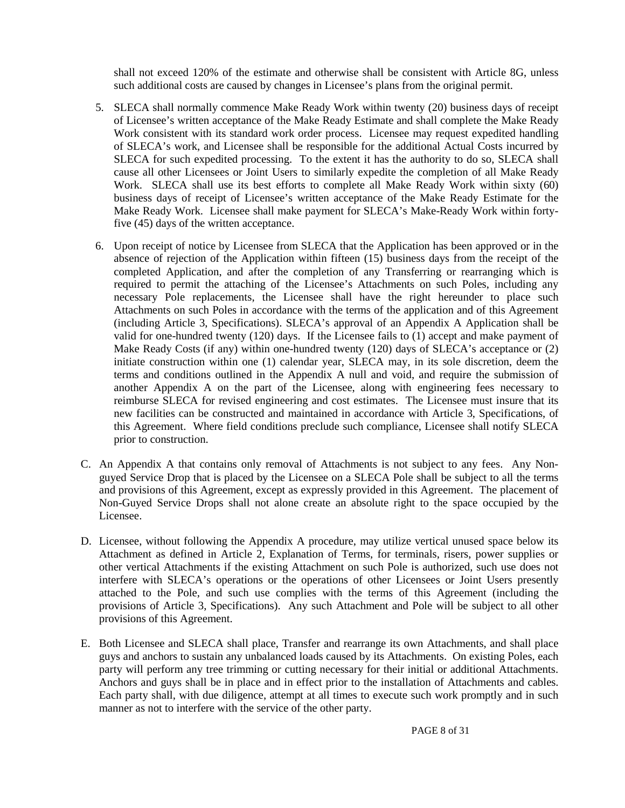shall not exceed 120% of the estimate and otherwise shall be consistent with Article 8G, unless such additional costs are caused by changes in Licensee's plans from the original permit.

- 5. SLECA shall normally commence Make Ready Work within twenty (20) business days of receipt of Licensee's written acceptance of the Make Ready Estimate and shall complete the Make Ready Work consistent with its standard work order process. Licensee may request expedited handling of SLECA's work, and Licensee shall be responsible for the additional Actual Costs incurred by SLECA for such expedited processing. To the extent it has the authority to do so, SLECA shall cause all other Licensees or Joint Users to similarly expedite the completion of all Make Ready Work. SLECA shall use its best efforts to complete all Make Ready Work within sixty (60) business days of receipt of Licensee's written acceptance of the Make Ready Estimate for the Make Ready Work. Licensee shall make payment for SLECA's Make-Ready Work within fortyfive (45) days of the written acceptance.
- 6. Upon receipt of notice by Licensee from SLECA that the Application has been approved or in the absence of rejection of the Application within fifteen (15) business days from the receipt of the completed Application, and after the completion of any Transferring or rearranging which is required to permit the attaching of the Licensee's Attachments on such Poles, including any necessary Pole replacements, the Licensee shall have the right hereunder to place such Attachments on such Poles in accordance with the terms of the application and of this Agreement (including Article 3, Specifications). SLECA's approval of an Appendix A Application shall be valid for one-hundred twenty (120) days. If the Licensee fails to (1) accept and make payment of Make Ready Costs (if any) within one-hundred twenty (120) days of SLECA's acceptance or (2) initiate construction within one (1) calendar year, SLECA may, in its sole discretion, deem the terms and conditions outlined in the Appendix A null and void, and require the submission of another Appendix A on the part of the Licensee, along with engineering fees necessary to reimburse SLECA for revised engineering and cost estimates. The Licensee must insure that its new facilities can be constructed and maintained in accordance with Article 3, Specifications, of this Agreement. Where field conditions preclude such compliance, Licensee shall notify SLECA prior to construction.
- C. An Appendix A that contains only removal of Attachments is not subject to any fees. Any Nonguyed Service Drop that is placed by the Licensee on a SLECA Pole shall be subject to all the terms and provisions of this Agreement, except as expressly provided in this Agreement. The placement of Non-Guyed Service Drops shall not alone create an absolute right to the space occupied by the Licensee.
- D. Licensee, without following the Appendix A procedure, may utilize vertical unused space below its Attachment as defined in Article 2, Explanation of Terms, for terminals, risers, power supplies or other vertical Attachments if the existing Attachment on such Pole is authorized, such use does not interfere with SLECA's operations or the operations of other Licensees or Joint Users presently attached to the Pole, and such use complies with the terms of this Agreement (including the provisions of Article 3, Specifications). Any such Attachment and Pole will be subject to all other provisions of this Agreement.
- E. Both Licensee and SLECA shall place, Transfer and rearrange its own Attachments, and shall place guys and anchors to sustain any unbalanced loads caused by its Attachments. On existing Poles, each party will perform any tree trimming or cutting necessary for their initial or additional Attachments. Anchors and guys shall be in place and in effect prior to the installation of Attachments and cables. Each party shall, with due diligence, attempt at all times to execute such work promptly and in such manner as not to interfere with the service of the other party.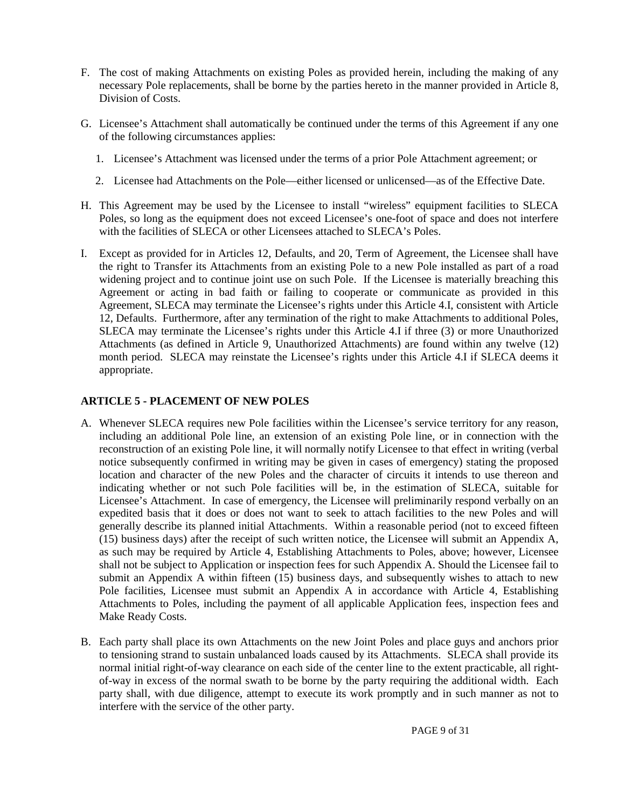- F. The cost of making Attachments on existing Poles as provided herein, including the making of any necessary Pole replacements, shall be borne by the parties hereto in the manner provided in Article 8, Division of Costs.
- G. Licensee's Attachment shall automatically be continued under the terms of this Agreement if any one of the following circumstances applies:
	- 1. Licensee's Attachment was licensed under the terms of a prior Pole Attachment agreement; or
	- 2. Licensee had Attachments on the Pole—either licensed or unlicensed—as of the Effective Date.
- H. This Agreement may be used by the Licensee to install "wireless" equipment facilities to SLECA Poles, so long as the equipment does not exceed Licensee's one-foot of space and does not interfere with the facilities of SLECA or other Licensees attached to SLECA's Poles.
- I. Except as provided for in Articles 12, Defaults, and 20, Term of Agreement, the Licensee shall have the right to Transfer its Attachments from an existing Pole to a new Pole installed as part of a road widening project and to continue joint use on such Pole. If the Licensee is materially breaching this Agreement or acting in bad faith or failing to cooperate or communicate as provided in this Agreement, SLECA may terminate the Licensee's rights under this Article 4.I, consistent with Article 12, Defaults. Furthermore, after any termination of the right to make Attachments to additional Poles, SLECA may terminate the Licensee's rights under this Article 4.I if three (3) or more Unauthorized Attachments (as defined in Article 9, Unauthorized Attachments) are found within any twelve (12) month period. SLECA may reinstate the Licensee's rights under this Article 4.I if SLECA deems it appropriate.

#### <span id="page-8-0"></span>**ARTICLE 5 - PLACEMENT OF NEW POLES**

- A. Whenever SLECA requires new Pole facilities within the Licensee's service territory for any reason, including an additional Pole line, an extension of an existing Pole line, or in connection with the reconstruction of an existing Pole line, it will normally notify Licensee to that effect in writing (verbal notice subsequently confirmed in writing may be given in cases of emergency) stating the proposed location and character of the new Poles and the character of circuits it intends to use thereon and indicating whether or not such Pole facilities will be, in the estimation of SLECA, suitable for Licensee's Attachment. In case of emergency, the Licensee will preliminarily respond verbally on an expedited basis that it does or does not want to seek to attach facilities to the new Poles and will generally describe its planned initial Attachments. Within a reasonable period (not to exceed fifteen (15) business days) after the receipt of such written notice, the Licensee will submit an Appendix A, as such may be required by Article 4, Establishing Attachments to Poles, above; however, Licensee shall not be subject to Application or inspection fees for such Appendix A. Should the Licensee fail to submit an Appendix A within fifteen (15) business days, and subsequently wishes to attach to new Pole facilities, Licensee must submit an Appendix A in accordance with Article 4, Establishing Attachments to Poles, including the payment of all applicable Application fees, inspection fees and Make Ready Costs.
- B. Each party shall place its own Attachments on the new Joint Poles and place guys and anchors prior to tensioning strand to sustain unbalanced loads caused by its Attachments. SLECA shall provide its normal initial right-of-way clearance on each side of the center line to the extent practicable, all rightof-way in excess of the normal swath to be borne by the party requiring the additional width. Each party shall, with due diligence, attempt to execute its work promptly and in such manner as not to interfere with the service of the other party.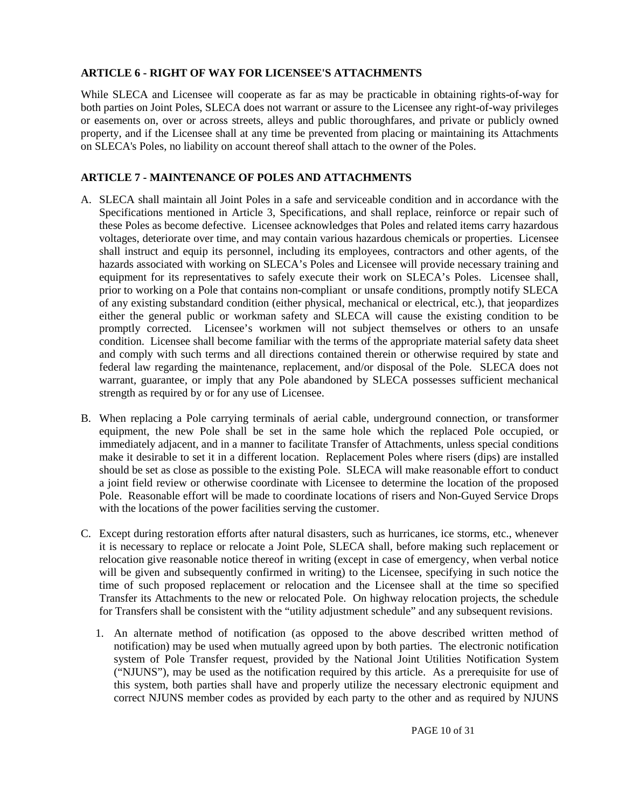#### <span id="page-9-0"></span>**ARTICLE 6 - RIGHT OF WAY FOR LICENSEE'S ATTACHMENTS**

While SLECA and Licensee will cooperate as far as may be practicable in obtaining rights-of-way for both parties on Joint Poles, SLECA does not warrant or assure to the Licensee any right-of-way privileges or easements on, over or across streets, alleys and public thoroughfares, and private or publicly owned property, and if the Licensee shall at any time be prevented from placing or maintaining its Attachments on SLECA's Poles, no liability on account thereof shall attach to the owner of the Poles.

#### <span id="page-9-1"></span>**ARTICLE 7 - MAINTENANCE OF POLES AND ATTACHMENTS**

- A. SLECA shall maintain all Joint Poles in a safe and serviceable condition and in accordance with the Specifications mentioned in Article 3, Specifications, and shall replace, reinforce or repair such of these Poles as become defective. Licensee acknowledges that Poles and related items carry hazardous voltages, deteriorate over time, and may contain various hazardous chemicals or properties. Licensee shall instruct and equip its personnel, including its employees, contractors and other agents, of the hazards associated with working on SLECA's Poles and Licensee will provide necessary training and equipment for its representatives to safely execute their work on SLECA's Poles. Licensee shall, prior to working on a Pole that contains non-compliant or unsafe conditions, promptly notify SLECA of any existing substandard condition (either physical, mechanical or electrical, etc.), that jeopardizes either the general public or workman safety and SLECA will cause the existing condition to be promptly corrected. Licensee's workmen will not subject themselves or others to an unsafe condition. Licensee shall become familiar with the terms of the appropriate material safety data sheet and comply with such terms and all directions contained therein or otherwise required by state and federal law regarding the maintenance, replacement, and/or disposal of the Pole. SLECA does not warrant, guarantee, or imply that any Pole abandoned by SLECA possesses sufficient mechanical strength as required by or for any use of Licensee.
- B. When replacing a Pole carrying terminals of aerial cable, underground connection, or transformer equipment, the new Pole shall be set in the same hole which the replaced Pole occupied, or immediately adjacent, and in a manner to facilitate Transfer of Attachments, unless special conditions make it desirable to set it in a different location. Replacement Poles where risers (dips) are installed should be set as close as possible to the existing Pole. SLECA will make reasonable effort to conduct a joint field review or otherwise coordinate with Licensee to determine the location of the proposed Pole. Reasonable effort will be made to coordinate locations of risers and Non-Guyed Service Drops with the locations of the power facilities serving the customer.
- C. Except during restoration efforts after natural disasters, such as hurricanes, ice storms, etc., whenever it is necessary to replace or relocate a Joint Pole, SLECA shall, before making such replacement or relocation give reasonable notice thereof in writing (except in case of emergency, when verbal notice will be given and subsequently confirmed in writing) to the Licensee, specifying in such notice the time of such proposed replacement or relocation and the Licensee shall at the time so specified Transfer its Attachments to the new or relocated Pole. On highway relocation projects, the schedule for Transfers shall be consistent with the "utility adjustment schedule" and any subsequent revisions.
	- 1. An alternate method of notification (as opposed to the above described written method of notification) may be used when mutually agreed upon by both parties. The electronic notification system of Pole Transfer request, provided by the National Joint Utilities Notification System ("NJUNS"), may be used as the notification required by this article. As a prerequisite for use of this system, both parties shall have and properly utilize the necessary electronic equipment and correct NJUNS member codes as provided by each party to the other and as required by NJUNS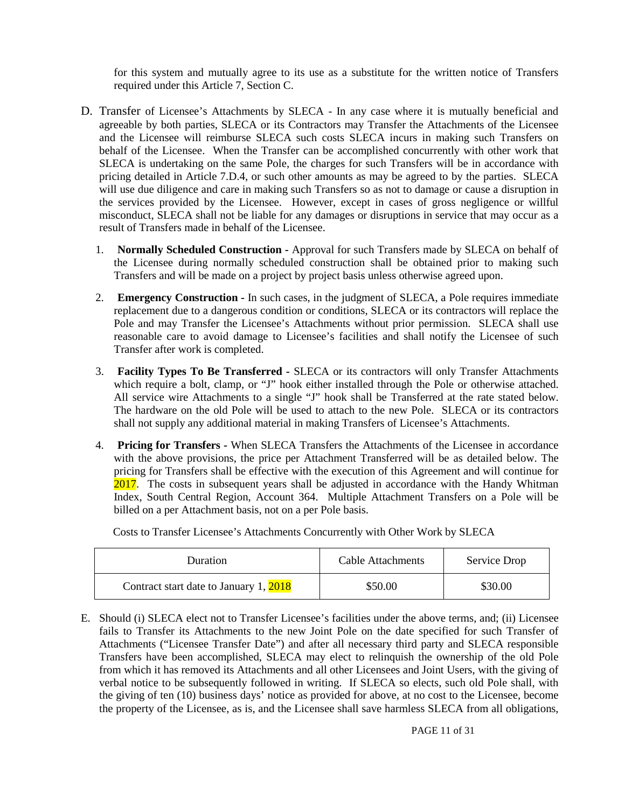for this system and mutually agree to its use as a substitute for the written notice of Transfers required under this Article 7, Section C.

- D. Transfer of Licensee's Attachments by SLECA In any case where it is mutually beneficial and agreeable by both parties, SLECA or its Contractors may Transfer the Attachments of the Licensee and the Licensee will reimburse SLECA such costs SLECA incurs in making such Transfers on behalf of the Licensee. When the Transfer can be accomplished concurrently with other work that SLECA is undertaking on the same Pole, the charges for such Transfers will be in accordance with pricing detailed in Article 7.D.4, or such other amounts as may be agreed to by the parties. SLECA will use due diligence and care in making such Transfers so as not to damage or cause a disruption in the services provided by the Licensee. However, except in cases of gross negligence or willful misconduct, SLECA shall not be liable for any damages or disruptions in service that may occur as a result of Transfers made in behalf of the Licensee.
	- 1. **Normally Scheduled Construction -** Approval for such Transfers made by SLECA on behalf of the Licensee during normally scheduled construction shall be obtained prior to making such Transfers and will be made on a project by project basis unless otherwise agreed upon.
	- 2. **Emergency Construction -** In such cases, in the judgment of SLECA, a Pole requires immediate replacement due to a dangerous condition or conditions, SLECA or its contractors will replace the Pole and may Transfer the Licensee's Attachments without prior permission. SLECA shall use reasonable care to avoid damage to Licensee's facilities and shall notify the Licensee of such Transfer after work is completed.
	- 3. **Facility Types To Be Transferred -** SLECA or its contractors will only Transfer Attachments which require a bolt, clamp, or "J" hook either installed through the Pole or otherwise attached. All service wire Attachments to a single "J" hook shall be Transferred at the rate stated below. The hardware on the old Pole will be used to attach to the new Pole. SLECA or its contractors shall not supply any additional material in making Transfers of Licensee's Attachments.
	- 4. **Pricing for Transfers -** When SLECA Transfers the Attachments of the Licensee in accordance with the above provisions, the price per Attachment Transferred will be as detailed below. The pricing for Transfers shall be effective with the execution of this Agreement and will continue for 2017. The costs in subsequent years shall be adjusted in accordance with the Handy Whitman Index, South Central Region, Account 364. Multiple Attachment Transfers on a Pole will be billed on a per Attachment basis, not on a per Pole basis.

Costs to Transfer Licensee's Attachments Concurrently with Other Work by SLECA

| <b>Duration</b>                        | Cable Attachments | Service Drop |
|----------------------------------------|-------------------|--------------|
| Contract start date to January 1, 2018 | \$50.00           | \$30.00      |

E. Should (i) SLECA elect not to Transfer Licensee's facilities under the above terms, and; (ii) Licensee fails to Transfer its Attachments to the new Joint Pole on the date specified for such Transfer of Attachments ("Licensee Transfer Date") and after all necessary third party and SLECA responsible Transfers have been accomplished, SLECA may elect to relinquish the ownership of the old Pole from which it has removed its Attachments and all other Licensees and Joint Users, with the giving of verbal notice to be subsequently followed in writing. If SLECA so elects, such old Pole shall, with the giving of ten (10) business days' notice as provided for above, at no cost to the Licensee, become the property of the Licensee, as is, and the Licensee shall save harmless SLECA from all obligations,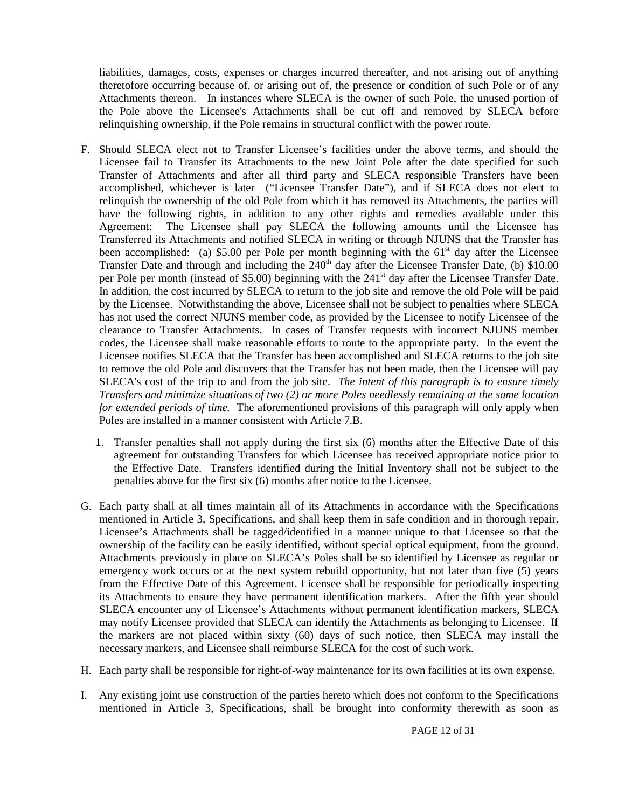liabilities, damages, costs, expenses or charges incurred thereafter, and not arising out of anything theretofore occurring because of, or arising out of, the presence or condition of such Pole or of any Attachments thereon. In instances where SLECA is the owner of such Pole, the unused portion of the Pole above the Licensee's Attachments shall be cut off and removed by SLECA before relinquishing ownership, if the Pole remains in structural conflict with the power route.

- F. Should SLECA elect not to Transfer Licensee's facilities under the above terms, and should the Licensee fail to Transfer its Attachments to the new Joint Pole after the date specified for such Transfer of Attachments and after all third party and SLECA responsible Transfers have been accomplished, whichever is later ("Licensee Transfer Date"), and if SLECA does not elect to relinquish the ownership of the old Pole from which it has removed its Attachments, the parties will have the following rights, in addition to any other rights and remedies available under this Agreement: The Licensee shall pay SLECA the following amounts until the Licensee has Transferred its Attachments and notified SLECA in writing or through NJUNS that the Transfer has been accomplished: (a) \$5.00 per Pole per month beginning with the  $61<sup>st</sup>$  day after the Licensee Transfer Date and through and including the  $240<sup>th</sup>$  day after the Licensee Transfer Date, (b) \$10.00 per Pole per month (instead of \$5.00) beginning with the 241<sup>st</sup> day after the Licensee Transfer Date. In addition, the cost incurred by SLECA to return to the job site and remove the old Pole will be paid by the Licensee. Notwithstanding the above, Licensee shall not be subject to penalties where SLECA has not used the correct NJUNS member code, as provided by the Licensee to notify Licensee of the clearance to Transfer Attachments. In cases of Transfer requests with incorrect NJUNS member codes, the Licensee shall make reasonable efforts to route to the appropriate party. In the event the Licensee notifies SLECA that the Transfer has been accomplished and SLECA returns to the job site to remove the old Pole and discovers that the Transfer has not been made, then the Licensee will pay SLECA's cost of the trip to and from the job site. *The intent of this paragraph is to ensure timely Transfers and minimize situations of two (2) or more Poles needlessly remaining at the same location for extended periods of time.* The aforementioned provisions of this paragraph will only apply when Poles are installed in a manner consistent with Article 7.B.
	- 1. Transfer penalties shall not apply during the first six (6) months after the Effective Date of this agreement for outstanding Transfers for which Licensee has received appropriate notice prior to the Effective Date. Transfers identified during the Initial Inventory shall not be subject to the penalties above for the first six (6) months after notice to the Licensee.
- G. Each party shall at all times maintain all of its Attachments in accordance with the Specifications mentioned in Article 3, Specifications, and shall keep them in safe condition and in thorough repair. Licensee's Attachments shall be tagged/identified in a manner unique to that Licensee so that the ownership of the facility can be easily identified, without special optical equipment, from the ground. Attachments previously in place on SLECA's Poles shall be so identified by Licensee as regular or emergency work occurs or at the next system rebuild opportunity, but not later than five (5) years from the Effective Date of this Agreement. Licensee shall be responsible for periodically inspecting its Attachments to ensure they have permanent identification markers. After the fifth year should SLECA encounter any of Licensee's Attachments without permanent identification markers, SLECA may notify Licensee provided that SLECA can identify the Attachments as belonging to Licensee. If the markers are not placed within sixty (60) days of such notice, then SLECA may install the necessary markers, and Licensee shall reimburse SLECA for the cost of such work.
- H. Each party shall be responsible for right-of-way maintenance for its own facilities at its own expense.
- I. Any existing joint use construction of the parties hereto which does not conform to the Specifications mentioned in Article 3, Specifications, shall be brought into conformity therewith as soon as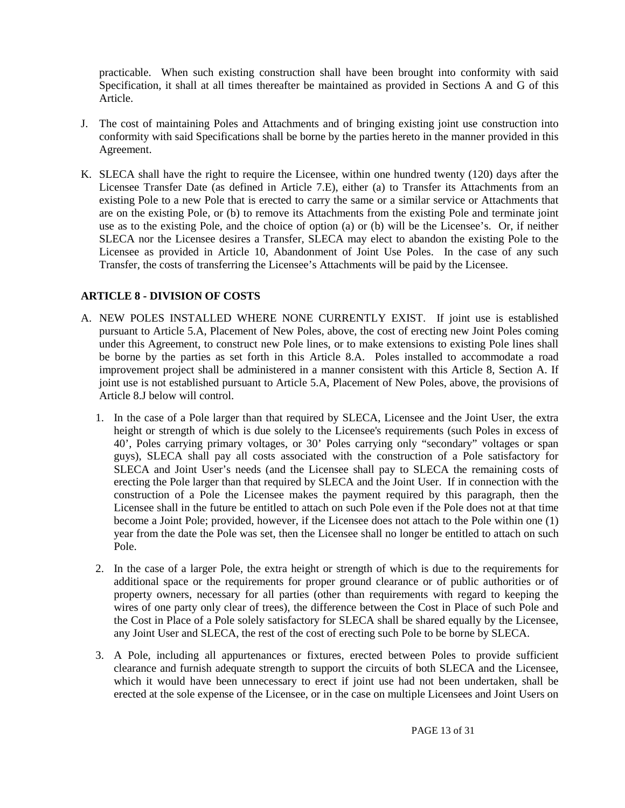practicable. When such existing construction shall have been brought into conformity with said Specification, it shall at all times thereafter be maintained as provided in Sections A and G of this Article.

- J. The cost of maintaining Poles and Attachments and of bringing existing joint use construction into conformity with said Specifications shall be borne by the parties hereto in the manner provided in this Agreement.
- K. SLECA shall have the right to require the Licensee, within one hundred twenty (120) days after the Licensee Transfer Date (as defined in Article 7.E), either (a) to Transfer its Attachments from an existing Pole to a new Pole that is erected to carry the same or a similar service or Attachments that are on the existing Pole, or (b) to remove its Attachments from the existing Pole and terminate joint use as to the existing Pole, and the choice of option (a) or (b) will be the Licensee's. Or, if neither SLECA nor the Licensee desires a Transfer, SLECA may elect to abandon the existing Pole to the Licensee as provided in Article 10, Abandonment of Joint Use Poles. In the case of any such Transfer, the costs of transferring the Licensee's Attachments will be paid by the Licensee.

#### <span id="page-12-0"></span>**ARTICLE 8 - DIVISION OF COSTS**

- A. NEW POLES INSTALLED WHERE NONE CURRENTLY EXIST. If joint use is established pursuant to Article 5.A, Placement of New Poles, above, the cost of erecting new Joint Poles coming under this Agreement, to construct new Pole lines, or to make extensions to existing Pole lines shall be borne by the parties as set forth in this Article 8.A. Poles installed to accommodate a road improvement project shall be administered in a manner consistent with this Article 8, Section A. If joint use is not established pursuant to Article 5.A, Placement of New Poles, above, the provisions of Article 8.J below will control.
	- 1. In the case of a Pole larger than that required by SLECA, Licensee and the Joint User, the extra height or strength of which is due solely to the Licensee's requirements (such Poles in excess of 40', Poles carrying primary voltages, or 30' Poles carrying only "secondary" voltages or span guys), SLECA shall pay all costs associated with the construction of a Pole satisfactory for SLECA and Joint User's needs (and the Licensee shall pay to SLECA the remaining costs of erecting the Pole larger than that required by SLECA and the Joint User. If in connection with the construction of a Pole the Licensee makes the payment required by this paragraph, then the Licensee shall in the future be entitled to attach on such Pole even if the Pole does not at that time become a Joint Pole; provided, however, if the Licensee does not attach to the Pole within one (1) year from the date the Pole was set, then the Licensee shall no longer be entitled to attach on such Pole.
	- 2. In the case of a larger Pole, the extra height or strength of which is due to the requirements for additional space or the requirements for proper ground clearance or of public authorities or of property owners, necessary for all parties (other than requirements with regard to keeping the wires of one party only clear of trees), the difference between the Cost in Place of such Pole and the Cost in Place of a Pole solely satisfactory for SLECA shall be shared equally by the Licensee, any Joint User and SLECA, the rest of the cost of erecting such Pole to be borne by SLECA.
	- 3. A Pole, including all appurtenances or fixtures, erected between Poles to provide sufficient clearance and furnish adequate strength to support the circuits of both SLECA and the Licensee, which it would have been unnecessary to erect if joint use had not been undertaken, shall be erected at the sole expense of the Licensee, or in the case on multiple Licensees and Joint Users on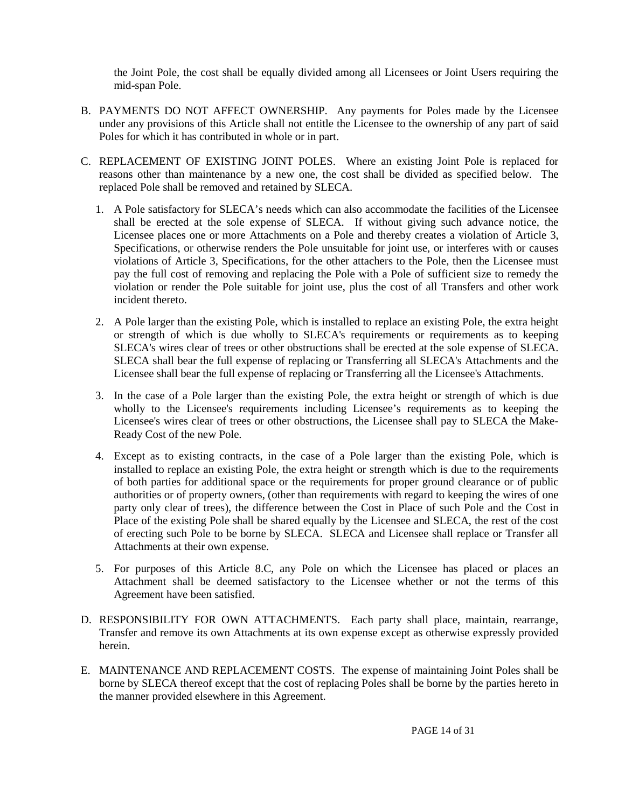the Joint Pole, the cost shall be equally divided among all Licensees or Joint Users requiring the mid-span Pole.

- B. PAYMENTS DO NOT AFFECT OWNERSHIP. Any payments for Poles made by the Licensee under any provisions of this Article shall not entitle the Licensee to the ownership of any part of said Poles for which it has contributed in whole or in part.
- C. REPLACEMENT OF EXISTING JOINT POLES. Where an existing Joint Pole is replaced for reasons other than maintenance by a new one, the cost shall be divided as specified below. The replaced Pole shall be removed and retained by SLECA.
	- 1. A Pole satisfactory for SLECA's needs which can also accommodate the facilities of the Licensee shall be erected at the sole expense of SLECA. If without giving such advance notice, the Licensee places one or more Attachments on a Pole and thereby creates a violation of Article 3, Specifications, or otherwise renders the Pole unsuitable for joint use, or interferes with or causes violations of Article 3, Specifications, for the other attachers to the Pole, then the Licensee must pay the full cost of removing and replacing the Pole with a Pole of sufficient size to remedy the violation or render the Pole suitable for joint use, plus the cost of all Transfers and other work incident thereto.
	- 2. A Pole larger than the existing Pole, which is installed to replace an existing Pole, the extra height or strength of which is due wholly to SLECA's requirements or requirements as to keeping SLECA's wires clear of trees or other obstructions shall be erected at the sole expense of SLECA. SLECA shall bear the full expense of replacing or Transferring all SLECA's Attachments and the Licensee shall bear the full expense of replacing or Transferring all the Licensee's Attachments.
	- 3. In the case of a Pole larger than the existing Pole, the extra height or strength of which is due wholly to the Licensee's requirements including Licensee's requirements as to keeping the Licensee's wires clear of trees or other obstructions, the Licensee shall pay to SLECA the Make-Ready Cost of the new Pole.
	- 4. Except as to existing contracts, in the case of a Pole larger than the existing Pole, which is installed to replace an existing Pole, the extra height or strength which is due to the requirements of both parties for additional space or the requirements for proper ground clearance or of public authorities or of property owners, (other than requirements with regard to keeping the wires of one party only clear of trees), the difference between the Cost in Place of such Pole and the Cost in Place of the existing Pole shall be shared equally by the Licensee and SLECA, the rest of the cost of erecting such Pole to be borne by SLECA. SLECA and Licensee shall replace or Transfer all Attachments at their own expense.
	- 5. For purposes of this Article 8.C, any Pole on which the Licensee has placed or places an Attachment shall be deemed satisfactory to the Licensee whether or not the terms of this Agreement have been satisfied.
- D. RESPONSIBILITY FOR OWN ATTACHMENTS. Each party shall place, maintain, rearrange, Transfer and remove its own Attachments at its own expense except as otherwise expressly provided herein.
- E. MAINTENANCE AND REPLACEMENT COSTS. The expense of maintaining Joint Poles shall be borne by SLECA thereof except that the cost of replacing Poles shall be borne by the parties hereto in the manner provided elsewhere in this Agreement.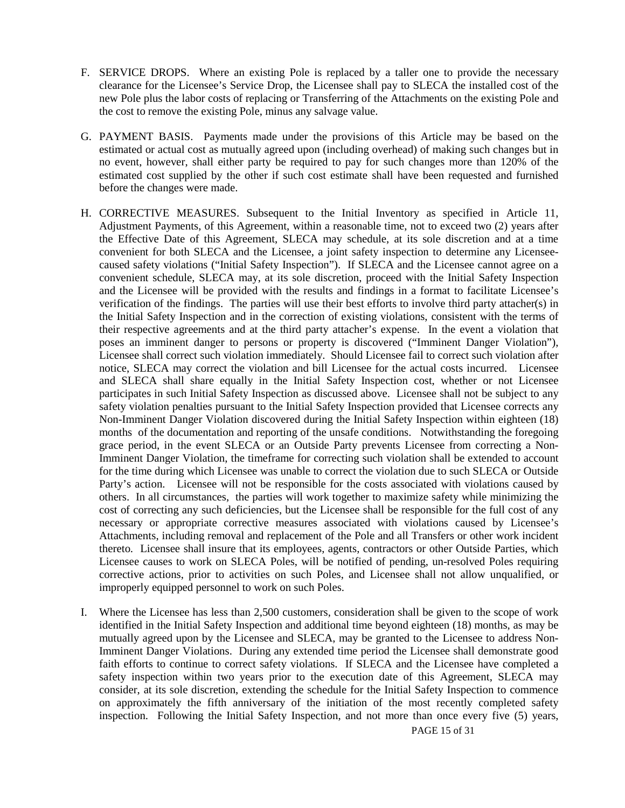- F. SERVICE DROPS. Where an existing Pole is replaced by a taller one to provide the necessary clearance for the Licensee's Service Drop, the Licensee shall pay to SLECA the installed cost of the new Pole plus the labor costs of replacing or Transferring of the Attachments on the existing Pole and the cost to remove the existing Pole, minus any salvage value.
- G. PAYMENT BASIS. Payments made under the provisions of this Article may be based on the estimated or actual cost as mutually agreed upon (including overhead) of making such changes but in no event, however, shall either party be required to pay for such changes more than 120% of the estimated cost supplied by the other if such cost estimate shall have been requested and furnished before the changes were made.
- H. CORRECTIVE MEASURES. Subsequent to the Initial Inventory as specified in Article 11, Adjustment Payments, of this Agreement, within a reasonable time, not to exceed two (2) years after the Effective Date of this Agreement, SLECA may schedule, at its sole discretion and at a time convenient for both SLECA and the Licensee, a joint safety inspection to determine any Licenseecaused safety violations ("Initial Safety Inspection"). If SLECA and the Licensee cannot agree on a convenient schedule, SLECA may, at its sole discretion, proceed with the Initial Safety Inspection and the Licensee will be provided with the results and findings in a format to facilitate Licensee's verification of the findings. The parties will use their best efforts to involve third party attacher(s) in the Initial Safety Inspection and in the correction of existing violations, consistent with the terms of their respective agreements and at the third party attacher's expense. In the event a violation that poses an imminent danger to persons or property is discovered ("Imminent Danger Violation"), Licensee shall correct such violation immediately. Should Licensee fail to correct such violation after notice, SLECA may correct the violation and bill Licensee for the actual costs incurred. Licensee and SLECA shall share equally in the Initial Safety Inspection cost, whether or not Licensee participates in such Initial Safety Inspection as discussed above. Licensee shall not be subject to any safety violation penalties pursuant to the Initial Safety Inspection provided that Licensee corrects any Non-Imminent Danger Violation discovered during the Initial Safety Inspection within eighteen (18) months of the documentation and reporting of the unsafe conditions. Notwithstanding the foregoing grace period, in the event SLECA or an Outside Party prevents Licensee from correcting a Non-Imminent Danger Violation, the timeframe for correcting such violation shall be extended to account for the time during which Licensee was unable to correct the violation due to such SLECA or Outside Party's action. Licensee will not be responsible for the costs associated with violations caused by others. In all circumstances, the parties will work together to maximize safety while minimizing the cost of correcting any such deficiencies, but the Licensee shall be responsible for the full cost of any necessary or appropriate corrective measures associated with violations caused by Licensee's Attachments, including removal and replacement of the Pole and all Transfers or other work incident thereto. Licensee shall insure that its employees, agents, contractors or other Outside Parties, which Licensee causes to work on SLECA Poles, will be notified of pending, un-resolved Poles requiring corrective actions, prior to activities on such Poles, and Licensee shall not allow unqualified, or improperly equipped personnel to work on such Poles.
- I. Where the Licensee has less than 2,500 customers, consideration shall be given to the scope of work identified in the Initial Safety Inspection and additional time beyond eighteen (18) months, as may be mutually agreed upon by the Licensee and SLECA, may be granted to the Licensee to address Non-Imminent Danger Violations. During any extended time period the Licensee shall demonstrate good faith efforts to continue to correct safety violations. If SLECA and the Licensee have completed a safety inspection within two years prior to the execution date of this Agreement, SLECA may consider, at its sole discretion, extending the schedule for the Initial Safety Inspection to commence on approximately the fifth anniversary of the initiation of the most recently completed safety inspection. Following the Initial Safety Inspection, and not more than once every five (5) years,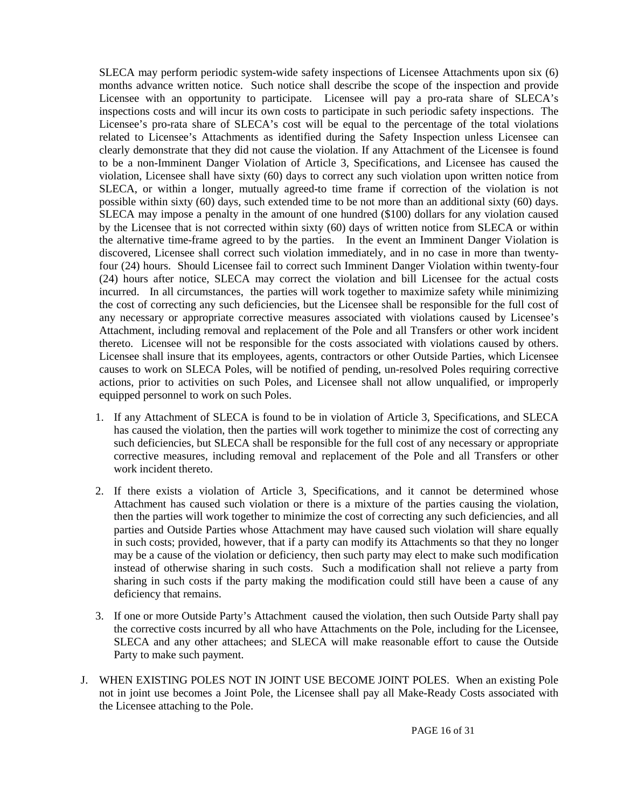SLECA may perform periodic system-wide safety inspections of Licensee Attachments upon six (6) months advance written notice. Such notice shall describe the scope of the inspection and provide Licensee with an opportunity to participate. Licensee will pay a pro-rata share of SLECA's inspections costs and will incur its own costs to participate in such periodic safety inspections. The Licensee's pro-rata share of SLECA's cost will be equal to the percentage of the total violations related to Licensee's Attachments as identified during the Safety Inspection unless Licensee can clearly demonstrate that they did not cause the violation. If any Attachment of the Licensee is found to be a non-Imminent Danger Violation of Article 3, Specifications, and Licensee has caused the violation, Licensee shall have sixty (60) days to correct any such violation upon written notice from SLECA, or within a longer, mutually agreed-to time frame if correction of the violation is not possible within sixty (60) days, such extended time to be not more than an additional sixty (60) days. SLECA may impose a penalty in the amount of one hundred (\$100) dollars for any violation caused by the Licensee that is not corrected within sixty (60) days of written notice from SLECA or within the alternative time-frame agreed to by the parties. In the event an Imminent Danger Violation is discovered, Licensee shall correct such violation immediately, and in no case in more than twentyfour (24) hours. Should Licensee fail to correct such Imminent Danger Violation within twenty-four (24) hours after notice, SLECA may correct the violation and bill Licensee for the actual costs incurred. In all circumstances, the parties will work together to maximize safety while minimizing the cost of correcting any such deficiencies, but the Licensee shall be responsible for the full cost of any necessary or appropriate corrective measures associated with violations caused by Licensee's Attachment, including removal and replacement of the Pole and all Transfers or other work incident thereto. Licensee will not be responsible for the costs associated with violations caused by others. Licensee shall insure that its employees, agents, contractors or other Outside Parties, which Licensee causes to work on SLECA Poles, will be notified of pending, un-resolved Poles requiring corrective actions, prior to activities on such Poles, and Licensee shall not allow unqualified, or improperly equipped personnel to work on such Poles.

- 1. If any Attachment of SLECA is found to be in violation of Article 3, Specifications, and SLECA has caused the violation, then the parties will work together to minimize the cost of correcting any such deficiencies, but SLECA shall be responsible for the full cost of any necessary or appropriate corrective measures, including removal and replacement of the Pole and all Transfers or other work incident thereto.
- 2. If there exists a violation of Article 3, Specifications, and it cannot be determined whose Attachment has caused such violation or there is a mixture of the parties causing the violation, then the parties will work together to minimize the cost of correcting any such deficiencies, and all parties and Outside Parties whose Attachment may have caused such violation will share equally in such costs; provided, however, that if a party can modify its Attachments so that they no longer may be a cause of the violation or deficiency, then such party may elect to make such modification instead of otherwise sharing in such costs. Such a modification shall not relieve a party from sharing in such costs if the party making the modification could still have been a cause of any deficiency that remains.
- 3. If one or more Outside Party's Attachment caused the violation, then such Outside Party shall pay the corrective costs incurred by all who have Attachments on the Pole, including for the Licensee, SLECA and any other attachees; and SLECA will make reasonable effort to cause the Outside Party to make such payment.
- J. WHEN EXISTING POLES NOT IN JOINT USE BECOME JOINT POLES. When an existing Pole not in joint use becomes a Joint Pole, the Licensee shall pay all Make-Ready Costs associated with the Licensee attaching to the Pole.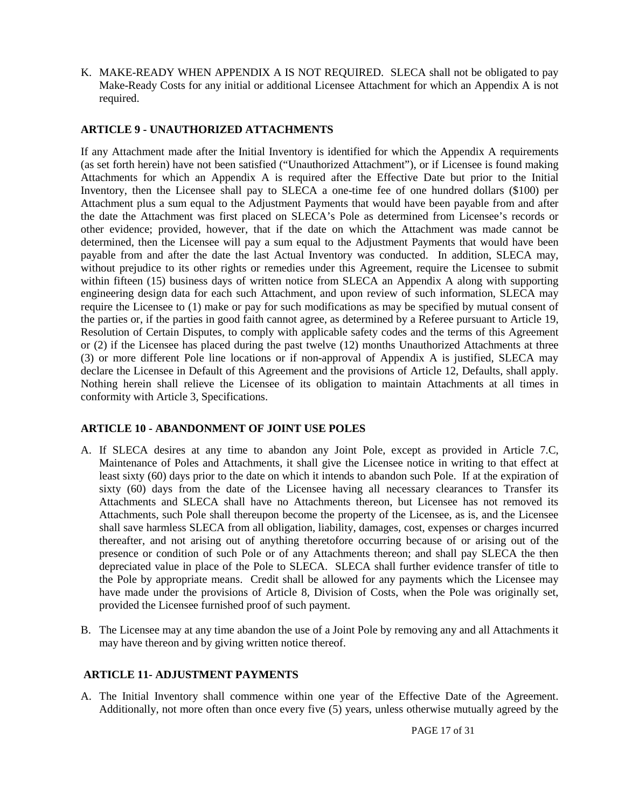K. MAKE-READY WHEN APPENDIX A IS NOT REQUIRED. SLECA shall not be obligated to pay Make-Ready Costs for any initial or additional Licensee Attachment for which an Appendix A is not required.

#### <span id="page-16-0"></span>**ARTICLE 9 - UNAUTHORIZED ATTACHMENTS**

If any Attachment made after the Initial Inventory is identified for which the Appendix A requirements (as set forth herein) have not been satisfied ("Unauthorized Attachment"), or if Licensee is found making Attachments for which an Appendix A is required after the Effective Date but prior to the Initial Inventory, then the Licensee shall pay to SLECA a one-time fee of one hundred dollars (\$100) per Attachment plus a sum equal to the Adjustment Payments that would have been payable from and after the date the Attachment was first placed on SLECA's Pole as determined from Licensee's records or other evidence; provided, however, that if the date on which the Attachment was made cannot be determined, then the Licensee will pay a sum equal to the Adjustment Payments that would have been payable from and after the date the last Actual Inventory was conducted. In addition, SLECA may, without prejudice to its other rights or remedies under this Agreement, require the Licensee to submit within fifteen (15) business days of written notice from SLECA an Appendix A along with supporting engineering design data for each such Attachment, and upon review of such information, SLECA may require the Licensee to (1) make or pay for such modifications as may be specified by mutual consent of the parties or, if the parties in good faith cannot agree, as determined by a Referee pursuant to Article 19, Resolution of Certain Disputes, to comply with applicable safety codes and the terms of this Agreement or (2) if the Licensee has placed during the past twelve (12) months Unauthorized Attachments at three (3) or more different Pole line locations or if non-approval of Appendix A is justified, SLECA may declare the Licensee in Default of this Agreement and the provisions of Article 12, Defaults, shall apply. Nothing herein shall relieve the Licensee of its obligation to maintain Attachments at all times in conformity with Article 3, Specifications.

#### <span id="page-16-1"></span>**ARTICLE 10 - ABANDONMENT OF JOINT USE POLES**

- A. If SLECA desires at any time to abandon any Joint Pole, except as provided in Article 7.C, Maintenance of Poles and Attachments, it shall give the Licensee notice in writing to that effect at least sixty (60) days prior to the date on which it intends to abandon such Pole. If at the expiration of sixty (60) days from the date of the Licensee having all necessary clearances to Transfer its Attachments and SLECA shall have no Attachments thereon, but Licensee has not removed its Attachments, such Pole shall thereupon become the property of the Licensee, as is, and the Licensee shall save harmless SLECA from all obligation, liability, damages, cost, expenses or charges incurred thereafter, and not arising out of anything theretofore occurring because of or arising out of the presence or condition of such Pole or of any Attachments thereon; and shall pay SLECA the then depreciated value in place of the Pole to SLECA. SLECA shall further evidence transfer of title to the Pole by appropriate means. Credit shall be allowed for any payments which the Licensee may have made under the provisions of Article 8, Division of Costs, when the Pole was originally set, provided the Licensee furnished proof of such payment.
- B. The Licensee may at any time abandon the use of a Joint Pole by removing any and all Attachments it may have thereon and by giving written notice thereof.

#### <span id="page-16-2"></span>**ARTICLE 11- ADJUSTMENT PAYMENTS**

A. The Initial Inventory shall commence within one year of the Effective Date of the Agreement. Additionally, not more often than once every five (5) years, unless otherwise mutually agreed by the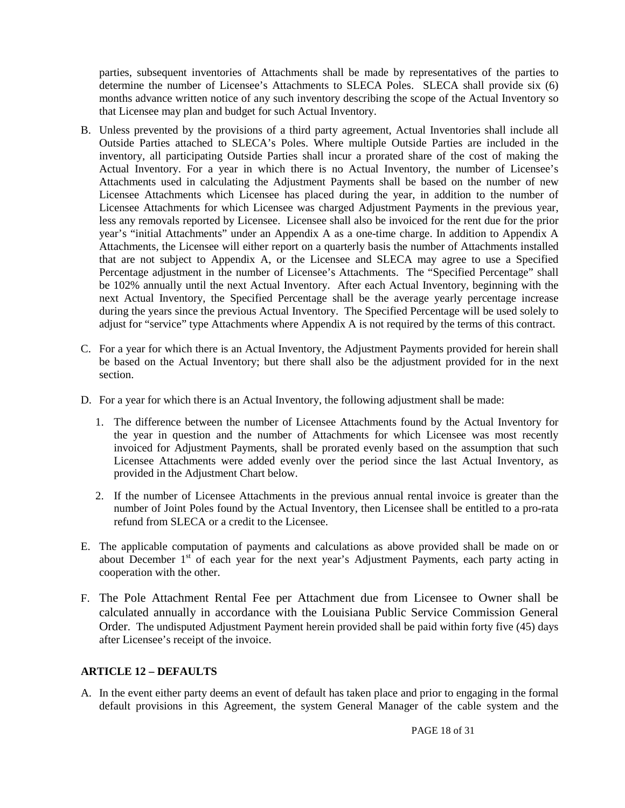parties, subsequent inventories of Attachments shall be made by representatives of the parties to determine the number of Licensee's Attachments to SLECA Poles. SLECA shall provide six (6) months advance written notice of any such inventory describing the scope of the Actual Inventory so that Licensee may plan and budget for such Actual Inventory.

- B. Unless prevented by the provisions of a third party agreement, Actual Inventories shall include all Outside Parties attached to SLECA's Poles. Where multiple Outside Parties are included in the inventory, all participating Outside Parties shall incur a prorated share of the cost of making the Actual Inventory. For a year in which there is no Actual Inventory, the number of Licensee's Attachments used in calculating the Adjustment Payments shall be based on the number of new Licensee Attachments which Licensee has placed during the year, in addition to the number of Licensee Attachments for which Licensee was charged Adjustment Payments in the previous year, less any removals reported by Licensee. Licensee shall also be invoiced for the rent due for the prior year's "initial Attachments" under an Appendix A as a one-time charge. In addition to Appendix A Attachments, the Licensee will either report on a quarterly basis the number of Attachments installed that are not subject to Appendix A, or the Licensee and SLECA may agree to use a Specified Percentage adjustment in the number of Licensee's Attachments. The "Specified Percentage" shall be 102% annually until the next Actual Inventory. After each Actual Inventory, beginning with the next Actual Inventory, the Specified Percentage shall be the average yearly percentage increase during the years since the previous Actual Inventory. The Specified Percentage will be used solely to adjust for "service" type Attachments where Appendix A is not required by the terms of this contract.
- C. For a year for which there is an Actual Inventory, the Adjustment Payments provided for herein shall be based on the Actual Inventory; but there shall also be the adjustment provided for in the next section.
- D. For a year for which there is an Actual Inventory, the following adjustment shall be made:
	- 1. The difference between the number of Licensee Attachments found by the Actual Inventory for the year in question and the number of Attachments for which Licensee was most recently invoiced for Adjustment Payments, shall be prorated evenly based on the assumption that such Licensee Attachments were added evenly over the period since the last Actual Inventory, as provided in the Adjustment Chart below.
	- 2. If the number of Licensee Attachments in the previous annual rental invoice is greater than the number of Joint Poles found by the Actual Inventory, then Licensee shall be entitled to a pro-rata refund from SLECA or a credit to the Licensee.
- E. The applicable computation of payments and calculations as above provided shall be made on or about December  $1<sup>st</sup>$  of each year for the next year's Adjustment Payments, each party acting in cooperation with the other.
- F. The Pole Attachment Rental Fee per Attachment due from Licensee to Owner shall be calculated annually in accordance with the Louisiana Public Service Commission General Order. The undisputed Adjustment Payment herein provided shall be paid within forty five (45) days after Licensee's receipt of the invoice.

#### <span id="page-17-0"></span>**ARTICLE 12 – DEFAULTS**

A. In the event either party deems an event of default has taken place and prior to engaging in the formal default provisions in this Agreement, the system General Manager of the cable system and the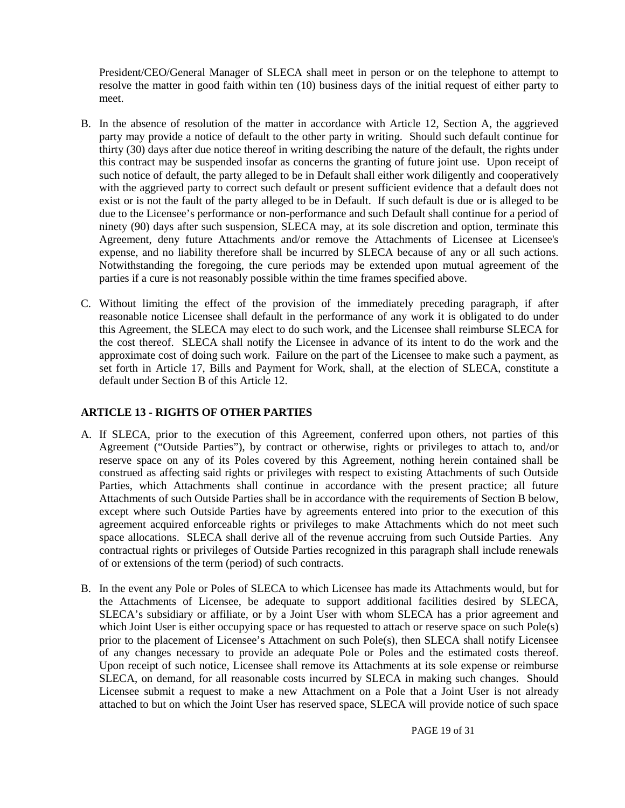President/CEO/General Manager of SLECA shall meet in person or on the telephone to attempt to resolve the matter in good faith within ten (10) business days of the initial request of either party to meet.

- B. In the absence of resolution of the matter in accordance with Article 12, Section A, the aggrieved party may provide a notice of default to the other party in writing. Should such default continue for thirty (30) days after due notice thereof in writing describing the nature of the default, the rights under this contract may be suspended insofar as concerns the granting of future joint use. Upon receipt of such notice of default, the party alleged to be in Default shall either work diligently and cooperatively with the aggrieved party to correct such default or present sufficient evidence that a default does not exist or is not the fault of the party alleged to be in Default. If such default is due or is alleged to be due to the Licensee's performance or non-performance and such Default shall continue for a period of ninety (90) days after such suspension, SLECA may, at its sole discretion and option, terminate this Agreement, deny future Attachments and/or remove the Attachments of Licensee at Licensee's expense, and no liability therefore shall be incurred by SLECA because of any or all such actions. Notwithstanding the foregoing, the cure periods may be extended upon mutual agreement of the parties if a cure is not reasonably possible within the time frames specified above.
- C. Without limiting the effect of the provision of the immediately preceding paragraph, if after reasonable notice Licensee shall default in the performance of any work it is obligated to do under this Agreement, the SLECA may elect to do such work, and the Licensee shall reimburse SLECA for the cost thereof. SLECA shall notify the Licensee in advance of its intent to do the work and the approximate cost of doing such work. Failure on the part of the Licensee to make such a payment, as set forth in Article 17, Bills and Payment for Work, shall, at the election of SLECA, constitute a default under Section B of this Article 12.

#### <span id="page-18-0"></span>**ARTICLE 13 - RIGHTS OF OTHER PARTIES**

- A. If SLECA, prior to the execution of this Agreement, conferred upon others, not parties of this Agreement ("Outside Parties"), by contract or otherwise, rights or privileges to attach to, and/or reserve space on any of its Poles covered by this Agreement, nothing herein contained shall be construed as affecting said rights or privileges with respect to existing Attachments of such Outside Parties, which Attachments shall continue in accordance with the present practice; all future Attachments of such Outside Parties shall be in accordance with the requirements of Section B below, except where such Outside Parties have by agreements entered into prior to the execution of this agreement acquired enforceable rights or privileges to make Attachments which do not meet such space allocations. SLECA shall derive all of the revenue accruing from such Outside Parties. Any contractual rights or privileges of Outside Parties recognized in this paragraph shall include renewals of or extensions of the term (period) of such contracts.
- B. In the event any Pole or Poles of SLECA to which Licensee has made its Attachments would, but for the Attachments of Licensee, be adequate to support additional facilities desired by SLECA, SLECA's subsidiary or affiliate, or by a Joint User with whom SLECA has a prior agreement and which Joint User is either occupying space or has requested to attach or reserve space on such Pole(s) prior to the placement of Licensee's Attachment on such Pole(s), then SLECA shall notify Licensee of any changes necessary to provide an adequate Pole or Poles and the estimated costs thereof. Upon receipt of such notice, Licensee shall remove its Attachments at its sole expense or reimburse SLECA, on demand, for all reasonable costs incurred by SLECA in making such changes. Should Licensee submit a request to make a new Attachment on a Pole that a Joint User is not already attached to but on which the Joint User has reserved space, SLECA will provide notice of such space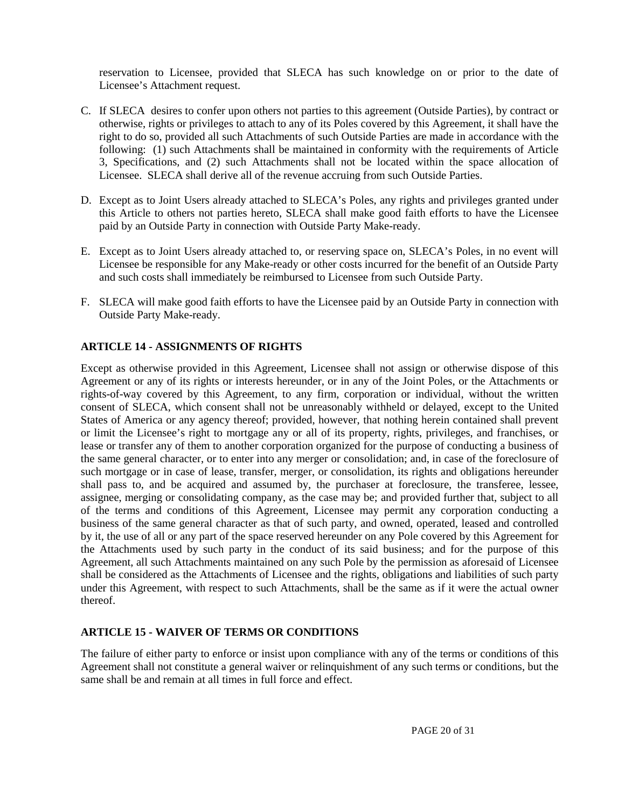reservation to Licensee, provided that SLECA has such knowledge on or prior to the date of Licensee's Attachment request.

- C. If SLECA desires to confer upon others not parties to this agreement (Outside Parties), by contract or otherwise, rights or privileges to attach to any of its Poles covered by this Agreement, it shall have the right to do so, provided all such Attachments of such Outside Parties are made in accordance with the following: (1) such Attachments shall be maintained in conformity with the requirements of Article 3, Specifications, and (2) such Attachments shall not be located within the space allocation of Licensee. SLECA shall derive all of the revenue accruing from such Outside Parties.
- D. Except as to Joint Users already attached to SLECA's Poles, any rights and privileges granted under this Article to others not parties hereto, SLECA shall make good faith efforts to have the Licensee paid by an Outside Party in connection with Outside Party Make-ready.
- E. Except as to Joint Users already attached to, or reserving space on, SLECA's Poles, in no event will Licensee be responsible for any Make-ready or other costs incurred for the benefit of an Outside Party and such costs shall immediately be reimbursed to Licensee from such Outside Party.
- F. SLECA will make good faith efforts to have the Licensee paid by an Outside Party in connection with Outside Party Make-ready.

#### <span id="page-19-0"></span>**ARTICLE 14 - ASSIGNMENTS OF RIGHTS**

Except as otherwise provided in this Agreement, Licensee shall not assign or otherwise dispose of this Agreement or any of its rights or interests hereunder, or in any of the Joint Poles, or the Attachments or rights-of-way covered by this Agreement, to any firm, corporation or individual, without the written consent of SLECA, which consent shall not be unreasonably withheld or delayed, except to the United States of America or any agency thereof; provided, however, that nothing herein contained shall prevent or limit the Licensee's right to mortgage any or all of its property, rights, privileges, and franchises, or lease or transfer any of them to another corporation organized for the purpose of conducting a business of the same general character, or to enter into any merger or consolidation; and, in case of the foreclosure of such mortgage or in case of lease, transfer, merger, or consolidation, its rights and obligations hereunder shall pass to, and be acquired and assumed by, the purchaser at foreclosure, the transferee, lessee, assignee, merging or consolidating company, as the case may be; and provided further that, subject to all of the terms and conditions of this Agreement, Licensee may permit any corporation conducting a business of the same general character as that of such party, and owned, operated, leased and controlled by it, the use of all or any part of the space reserved hereunder on any Pole covered by this Agreement for the Attachments used by such party in the conduct of its said business; and for the purpose of this Agreement, all such Attachments maintained on any such Pole by the permission as aforesaid of Licensee shall be considered as the Attachments of Licensee and the rights, obligations and liabilities of such party under this Agreement, with respect to such Attachments, shall be the same as if it were the actual owner thereof.

#### <span id="page-19-1"></span>**ARTICLE 15 - WAIVER OF TERMS OR CONDITIONS**

The failure of either party to enforce or insist upon compliance with any of the terms or conditions of this Agreement shall not constitute a general waiver or relinquishment of any such terms or conditions, but the same shall be and remain at all times in full force and effect.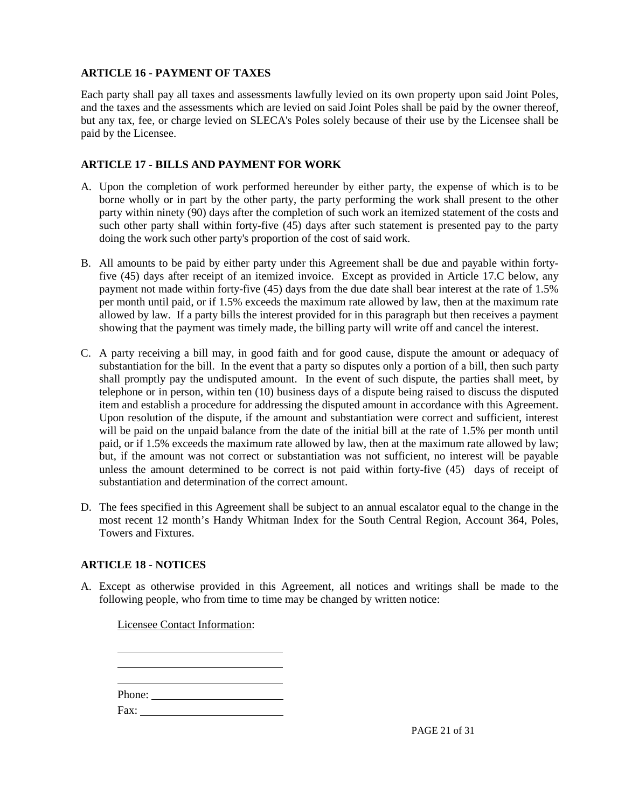#### <span id="page-20-0"></span>**ARTICLE 16 - PAYMENT OF TAXES**

Each party shall pay all taxes and assessments lawfully levied on its own property upon said Joint Poles, and the taxes and the assessments which are levied on said Joint Poles shall be paid by the owner thereof, but any tax, fee, or charge levied on SLECA's Poles solely because of their use by the Licensee shall be paid by the Licensee.

#### <span id="page-20-1"></span>**ARTICLE 17 - BILLS AND PAYMENT FOR WORK**

- A. Upon the completion of work performed hereunder by either party, the expense of which is to be borne wholly or in part by the other party, the party performing the work shall present to the other party within ninety (90) days after the completion of such work an itemized statement of the costs and such other party shall within forty-five (45) days after such statement is presented pay to the party doing the work such other party's proportion of the cost of said work.
- B. All amounts to be paid by either party under this Agreement shall be due and payable within fortyfive (45) days after receipt of an itemized invoice. Except as provided in Article 17.C below, any payment not made within forty-five (45) days from the due date shall bear interest at the rate of 1.5% per month until paid, or if 1.5% exceeds the maximum rate allowed by law, then at the maximum rate allowed by law. If a party bills the interest provided for in this paragraph but then receives a payment showing that the payment was timely made, the billing party will write off and cancel the interest.
- C. A party receiving a bill may, in good faith and for good cause, dispute the amount or adequacy of substantiation for the bill. In the event that a party so disputes only a portion of a bill, then such party shall promptly pay the undisputed amount. In the event of such dispute, the parties shall meet, by telephone or in person, within ten (10) business days of a dispute being raised to discuss the disputed item and establish a procedure for addressing the disputed amount in accordance with this Agreement. Upon resolution of the dispute, if the amount and substantiation were correct and sufficient, interest will be paid on the unpaid balance from the date of the initial bill at the rate of 1.5% per month until paid, or if 1.5% exceeds the maximum rate allowed by law, then at the maximum rate allowed by law; but, if the amount was not correct or substantiation was not sufficient, no interest will be payable unless the amount determined to be correct is not paid within forty-five (45) days of receipt of substantiation and determination of the correct amount.
- D. The fees specified in this Agreement shall be subject to an annual escalator equal to the change in the most recent 12 month's Handy Whitman Index for the South Central Region, Account 364, Poles, Towers and Fixtures.

#### <span id="page-20-2"></span>**ARTICLE 18 - NOTICES**

A. Except as otherwise provided in this Agreement, all notices and writings shall be made to the following people, who from time to time may be changed by written notice:

Licensee Contact Information: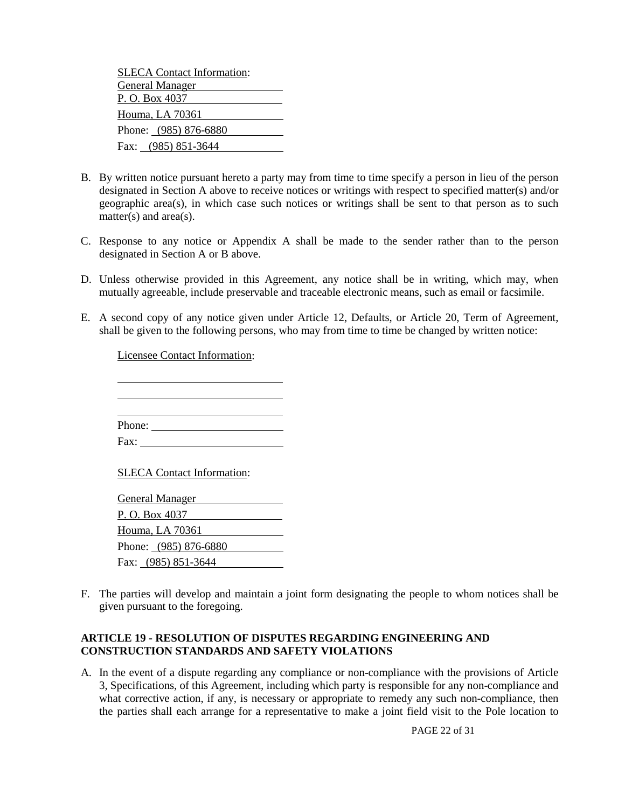| <b>SLECA Contact Information:</b> |
|-----------------------------------|
| General Manager                   |
| P. O. Box 4037                    |
| Houma, LA 70361                   |
| Phone: (985) 876-6880             |
| Fax: (985) 851-3644               |

- B. By written notice pursuant hereto a party may from time to time specify a person in lieu of the person designated in Section A above to receive notices or writings with respect to specified matter(s) and/or geographic area(s), in which case such notices or writings shall be sent to that person as to such matter(s) and area(s).
- C. Response to any notice or Appendix A shall be made to the sender rather than to the person designated in Section A or B above.
- D. Unless otherwise provided in this Agreement, any notice shall be in writing, which may, when mutually agreeable, include preservable and traceable electronic means, such as email or facsimile.
- E. A second copy of any notice given under Article 12, Defaults, or Article 20, Term of Agreement, shall be given to the following persons, who may from time to time be changed by written notice:

Licensee Contact Information:

  $\overline{a}$ 

 $\overline{a}$ Phone:

Fax:

SLECA Contact Information:

General Manager P. O. Box 4037 Houma, LA 70361 Phone: (985) 876-6880 Fax: (985) 851-3644

F. The parties will develop and maintain a joint form designating the people to whom notices shall be given pursuant to the foregoing.

#### <span id="page-21-0"></span>**ARTICLE 19 - RESOLUTION OF DISPUTES REGARDING ENGINEERING AND CONSTRUCTION STANDARDS AND SAFETY VIOLATIONS**

A. In the event of a dispute regarding any compliance or non-compliance with the provisions of Article 3, Specifications, of this Agreement, including which party is responsible for any non-compliance and what corrective action, if any, is necessary or appropriate to remedy any such non-compliance, then the parties shall each arrange for a representative to make a joint field visit to the Pole location to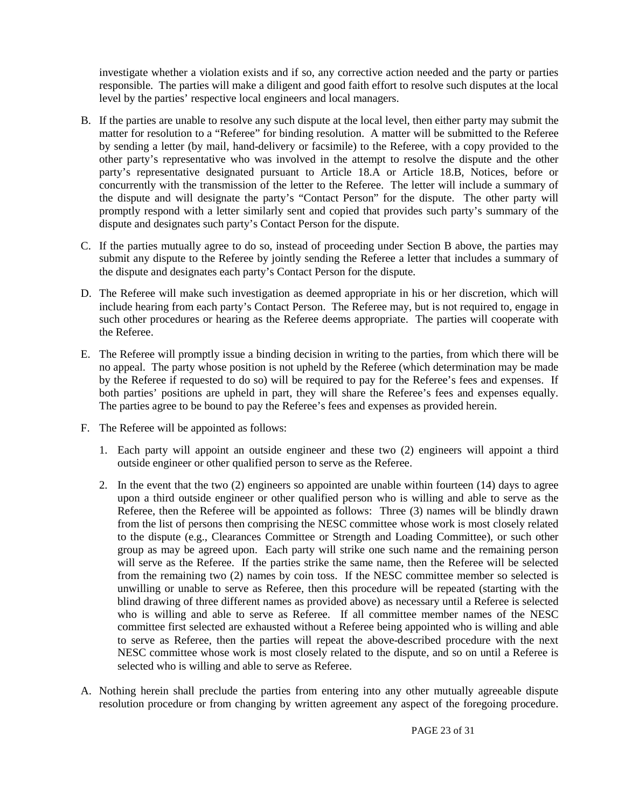investigate whether a violation exists and if so, any corrective action needed and the party or parties responsible. The parties will make a diligent and good faith effort to resolve such disputes at the local level by the parties' respective local engineers and local managers.

- B. If the parties are unable to resolve any such dispute at the local level, then either party may submit the matter for resolution to a "Referee" for binding resolution. A matter will be submitted to the Referee by sending a letter (by mail, hand-delivery or facsimile) to the Referee, with a copy provided to the other party's representative who was involved in the attempt to resolve the dispute and the other party's representative designated pursuant to Article 18.A or Article 18.B, Notices, before or concurrently with the transmission of the letter to the Referee. The letter will include a summary of the dispute and will designate the party's "Contact Person" for the dispute. The other party will promptly respond with a letter similarly sent and copied that provides such party's summary of the dispute and designates such party's Contact Person for the dispute.
- C. If the parties mutually agree to do so, instead of proceeding under Section B above, the parties may submit any dispute to the Referee by jointly sending the Referee a letter that includes a summary of the dispute and designates each party's Contact Person for the dispute.
- D. The Referee will make such investigation as deemed appropriate in his or her discretion, which will include hearing from each party's Contact Person. The Referee may, but is not required to, engage in such other procedures or hearing as the Referee deems appropriate. The parties will cooperate with the Referee.
- E. The Referee will promptly issue a binding decision in writing to the parties, from which there will be no appeal. The party whose position is not upheld by the Referee (which determination may be made by the Referee if requested to do so) will be required to pay for the Referee's fees and expenses. If both parties' positions are upheld in part, they will share the Referee's fees and expenses equally. The parties agree to be bound to pay the Referee's fees and expenses as provided herein.
- F. The Referee will be appointed as follows:
	- 1. Each party will appoint an outside engineer and these two (2) engineers will appoint a third outside engineer or other qualified person to serve as the Referee.
	- 2. In the event that the two (2) engineers so appointed are unable within fourteen (14) days to agree upon a third outside engineer or other qualified person who is willing and able to serve as the Referee, then the Referee will be appointed as follows: Three (3) names will be blindly drawn from the list of persons then comprising the NESC committee whose work is most closely related to the dispute (e.g., Clearances Committee or Strength and Loading Committee), or such other group as may be agreed upon. Each party will strike one such name and the remaining person will serve as the Referee. If the parties strike the same name, then the Referee will be selected from the remaining two (2) names by coin toss. If the NESC committee member so selected is unwilling or unable to serve as Referee, then this procedure will be repeated (starting with the blind drawing of three different names as provided above) as necessary until a Referee is selected who is willing and able to serve as Referee. If all committee member names of the NESC committee first selected are exhausted without a Referee being appointed who is willing and able to serve as Referee, then the parties will repeat the above-described procedure with the next NESC committee whose work is most closely related to the dispute, and so on until a Referee is selected who is willing and able to serve as Referee.
- A. Nothing herein shall preclude the parties from entering into any other mutually agreeable dispute resolution procedure or from changing by written agreement any aspect of the foregoing procedure.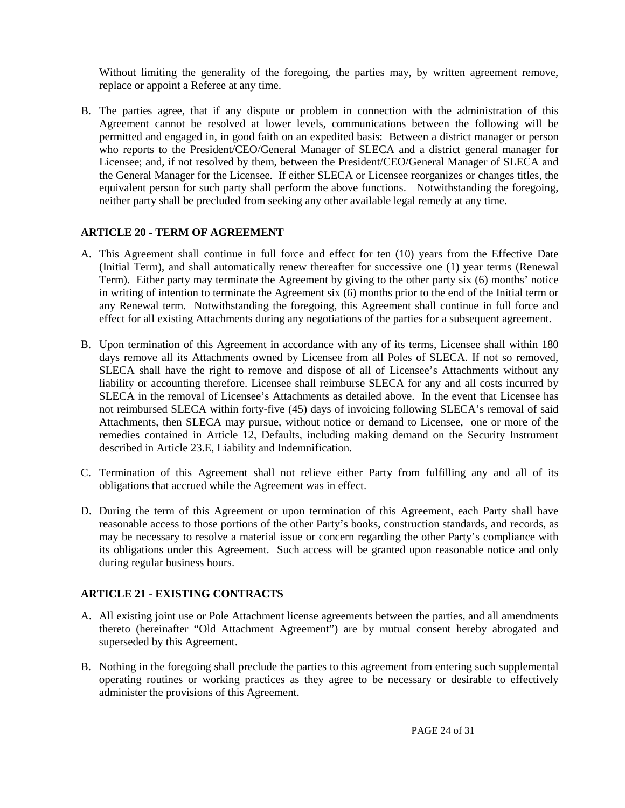Without limiting the generality of the foregoing, the parties may, by written agreement remove, replace or appoint a Referee at any time.

B. The parties agree, that if any dispute or problem in connection with the administration of this Agreement cannot be resolved at lower levels, communications between the following will be permitted and engaged in, in good faith on an expedited basis: Between a district manager or person who reports to the President/CEO/General Manager of SLECA and a district general manager for Licensee; and, if not resolved by them, between the President/CEO/General Manager of SLECA and the General Manager for the Licensee. If either SLECA or Licensee reorganizes or changes titles, the equivalent person for such party shall perform the above functions. Notwithstanding the foregoing, neither party shall be precluded from seeking any other available legal remedy at any time.

#### <span id="page-23-0"></span>**ARTICLE 20 - TERM OF AGREEMENT**

- A. This Agreement shall continue in full force and effect for ten (10) years from the Effective Date (Initial Term), and shall automatically renew thereafter for successive one (1) year terms (Renewal Term). Either party may terminate the Agreement by giving to the other party six (6) months' notice in writing of intention to terminate the Agreement six (6) months prior to the end of the Initial term or any Renewal term. Notwithstanding the foregoing, this Agreement shall continue in full force and effect for all existing Attachments during any negotiations of the parties for a subsequent agreement.
- B. Upon termination of this Agreement in accordance with any of its terms, Licensee shall within 180 days remove all its Attachments owned by Licensee from all Poles of SLECA. If not so removed, SLECA shall have the right to remove and dispose of all of Licensee's Attachments without any liability or accounting therefore. Licensee shall reimburse SLECA for any and all costs incurred by SLECA in the removal of Licensee's Attachments as detailed above. In the event that Licensee has not reimbursed SLECA within forty-five (45) days of invoicing following SLECA's removal of said Attachments, then SLECA may pursue, without notice or demand to Licensee, one or more of the remedies contained in Article 12, Defaults, including making demand on the Security Instrument described in Article 23.E, Liability and Indemnification.
- C. Termination of this Agreement shall not relieve either Party from fulfilling any and all of its obligations that accrued while the Agreement was in effect.
- D. During the term of this Agreement or upon termination of this Agreement, each Party shall have reasonable access to those portions of the other Party's books, construction standards, and records, as may be necessary to resolve a material issue or concern regarding the other Party's compliance with its obligations under this Agreement. Such access will be granted upon reasonable notice and only during regular business hours.

#### <span id="page-23-1"></span>**ARTICLE 21 - EXISTING CONTRACTS**

- A. All existing joint use or Pole Attachment license agreements between the parties, and all amendments thereto (hereinafter "Old Attachment Agreement") are by mutual consent hereby abrogated and superseded by this Agreement.
- B. Nothing in the foregoing shall preclude the parties to this agreement from entering such supplemental operating routines or working practices as they agree to be necessary or desirable to effectively administer the provisions of this Agreement.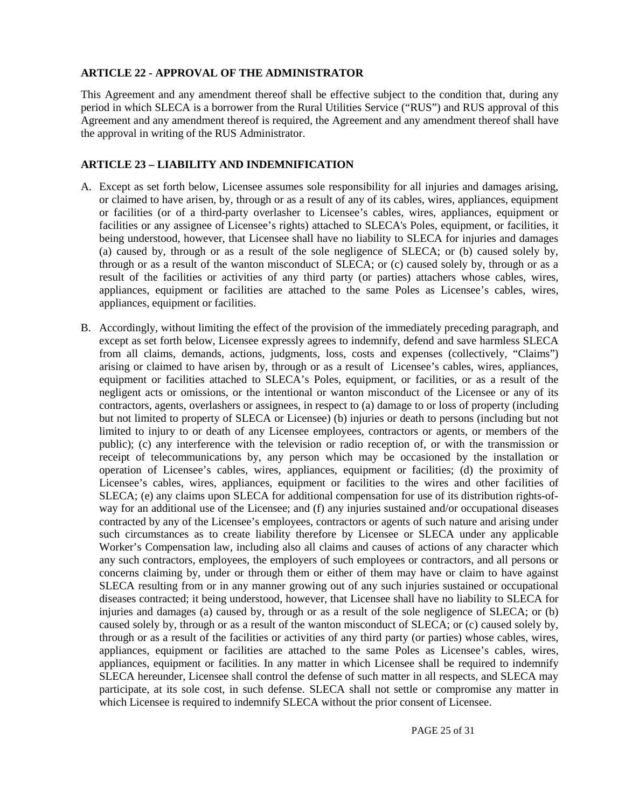#### <span id="page-24-0"></span>**ARTICLE 22 - APPROVAL OF THE ADMINISTRATOR**

This Agreement and any amendment thereof shall be effective subject to the condition that, during any period in which SLECA is a borrower from the Rural Utilities Service ("RUS") and RUS approval of this Agreement and any amendment thereof is required, the Agreement and any amendment thereof shall have the approval in writing of the RUS Administrator.

#### <span id="page-24-1"></span>**ARTICLE 23 – LIABILITY AND INDEMNIFICATION**

- A. Except as set forth below, Licensee assumes sole responsibility for all injuries and damages arising, or claimed to have arisen, by, through or as a result of any of its cables, wires, appliances, equipment or facilities (or of a third-party overlasher to Licensee's cables, wires, appliances, equipment or facilities or any assignee of Licensee's rights) attached to SLECA's Poles, equipment, or facilities, it being understood, however, that Licensee shall have no liability to SLECA for injuries and damages (a) caused by, through or as a result of the sole negligence of SLECA; or (b) caused solely by, through or as a result of the wanton misconduct of SLECA; or (c) caused solely by, through or as a result of the facilities or activities of any third party (or parties) attachers whose cables, wires, appliances, equipment or facilities are attached to the same Poles as Licensee's cables, wires, appliances, equipment or facilities.
- B. Accordingly, without limiting the effect of the provision of the immediately preceding paragraph, and except as set forth below, Licensee expressly agrees to indemnify, defend and save harmless SLECA from all claims, demands, actions, judgments, loss, costs and expenses (collectively, "Claims") arising or claimed to have arisen by, through or as a result of Licensee's cables, wires, appliances, equipment or facilities attached to SLECA's Poles, equipment, or facilities, or as a result of the negligent acts or omissions, or the intentional or wanton misconduct of the Licensee or any of its contractors, agents, overlashers or assignees, in respect to (a) damage to or loss of property (including but not limited to property of SLECA or Licensee) (b) injuries or death to persons (including but not limited to injury to or death of any Licensee employees, contractors or agents, or members of the public); (c) any interference with the television or radio reception of, or with the transmission or receipt of telecommunications by, any person which may be occasioned by the installation or operation of Licensee's cables, wires, appliances, equipment or facilities; (d) the proximity of Licensee's cables, wires, appliances, equipment or facilities to the wires and other facilities of SLECA; (e) any claims upon SLECA for additional compensation for use of its distribution rights-ofway for an additional use of the Licensee; and (f) any injuries sustained and/or occupational diseases contracted by any of the Licensee's employees, contractors or agents of such nature and arising under such circumstances as to create liability therefore by Licensee or SLECA under any applicable Worker's Compensation law, including also all claims and causes of actions of any character which any such contractors, employees, the employers of such employees or contractors, and all persons or concerns claiming by, under or through them or either of them may have or claim to have against SLECA resulting from or in any manner growing out of any such injuries sustained or occupational diseases contracted; it being understood, however, that Licensee shall have no liability to SLECA for injuries and damages (a) caused by, through or as a result of the sole negligence of SLECA; or (b) caused solely by, through or as a result of the wanton misconduct of SLECA; or (c) caused solely by, through or as a result of the facilities or activities of any third party (or parties) whose cables, wires, appliances, equipment or facilities are attached to the same Poles as Licensee's cables, wires, appliances, equipment or facilities. In any matter in which Licensee shall be required to indemnify SLECA hereunder, Licensee shall control the defense of such matter in all respects, and SLECA may participate, at its sole cost, in such defense. SLECA shall not settle or compromise any matter in which Licensee is required to indemnify SLECA without the prior consent of Licensee.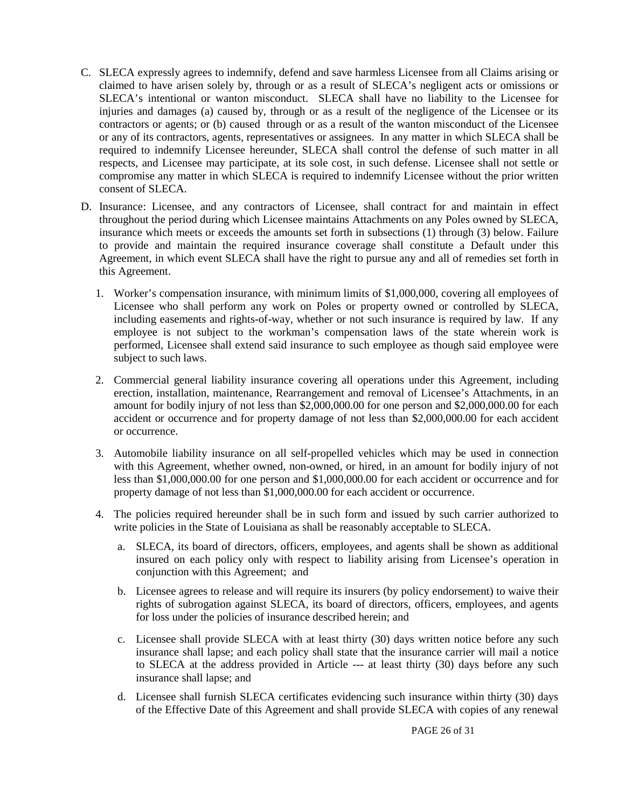- C. SLECA expressly agrees to indemnify, defend and save harmless Licensee from all Claims arising or claimed to have arisen solely by, through or as a result of SLECA's negligent acts or omissions or SLECA's intentional or wanton misconduct. SLECA shall have no liability to the Licensee for injuries and damages (a) caused by, through or as a result of the negligence of the Licensee or its contractors or agents; or (b) caused through or as a result of the wanton misconduct of the Licensee or any of its contractors, agents, representatives or assignees. In any matter in which SLECA shall be required to indemnify Licensee hereunder, SLECA shall control the defense of such matter in all respects, and Licensee may participate, at its sole cost, in such defense. Licensee shall not settle or compromise any matter in which SLECA is required to indemnify Licensee without the prior written consent of SLECA.
- D. Insurance: Licensee, and any contractors of Licensee, shall contract for and maintain in effect throughout the period during which Licensee maintains Attachments on any Poles owned by SLECA, insurance which meets or exceeds the amounts set forth in subsections (1) through (3) below. Failure to provide and maintain the required insurance coverage shall constitute a Default under this Agreement, in which event SLECA shall have the right to pursue any and all of remedies set forth in this Agreement.
	- 1. Worker's compensation insurance, with minimum limits of \$1,000,000, covering all employees of Licensee who shall perform any work on Poles or property owned or controlled by SLECA, including easements and rights-of-way, whether or not such insurance is required by law. If any employee is not subject to the workman's compensation laws of the state wherein work is performed, Licensee shall extend said insurance to such employee as though said employee were subject to such laws.
	- 2. Commercial general liability insurance covering all operations under this Agreement, including erection, installation, maintenance, Rearrangement and removal of Licensee's Attachments, in an amount for bodily injury of not less than \$2,000,000.00 for one person and \$2,000,000.00 for each accident or occurrence and for property damage of not less than \$2,000,000.00 for each accident or occurrence.
	- 3. Automobile liability insurance on all self-propelled vehicles which may be used in connection with this Agreement, whether owned, non-owned, or hired, in an amount for bodily injury of not less than \$1,000,000.00 for one person and \$1,000,000.00 for each accident or occurrence and for property damage of not less than \$1,000,000.00 for each accident or occurrence.
	- 4. The policies required hereunder shall be in such form and issued by such carrier authorized to write policies in the State of Louisiana as shall be reasonably acceptable to SLECA.
		- a. SLECA, its board of directors, officers, employees, and agents shall be shown as additional insured on each policy only with respect to liability arising from Licensee's operation in conjunction with this Agreement; and
		- b. Licensee agrees to release and will require its insurers (by policy endorsement) to waive their rights of subrogation against SLECA, its board of directors, officers, employees, and agents for loss under the policies of insurance described herein; and
		- c. Licensee shall provide SLECA with at least thirty (30) days written notice before any such insurance shall lapse; and each policy shall state that the insurance carrier will mail a notice to SLECA at the address provided in Article --- at least thirty (30) days before any such insurance shall lapse; and
		- d. Licensee shall furnish SLECA certificates evidencing such insurance within thirty (30) days of the Effective Date of this Agreement and shall provide SLECA with copies of any renewal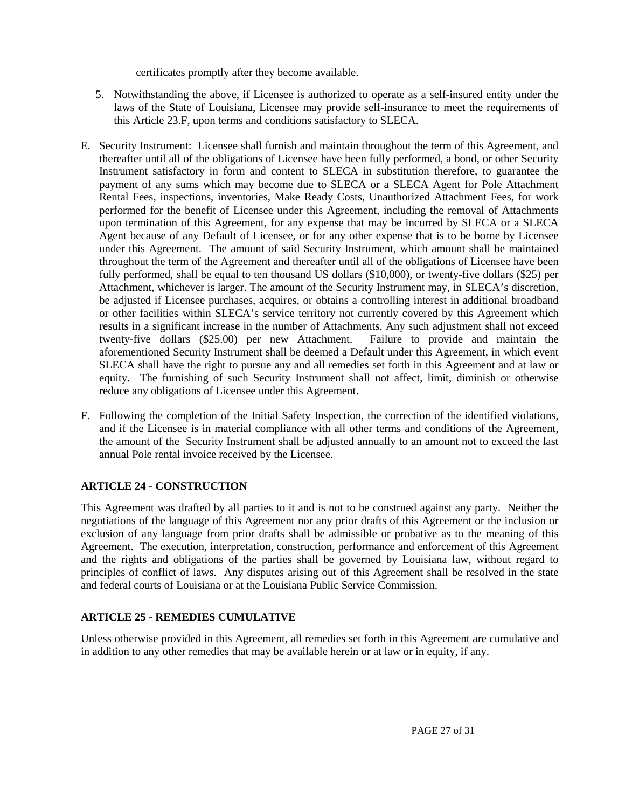certificates promptly after they become available.

- 5. Notwithstanding the above, if Licensee is authorized to operate as a self-insured entity under the laws of the State of Louisiana, Licensee may provide self-insurance to meet the requirements of this Article 23.F, upon terms and conditions satisfactory to SLECA.
- E. Security Instrument: Licensee shall furnish and maintain throughout the term of this Agreement, and thereafter until all of the obligations of Licensee have been fully performed, a bond, or other Security Instrument satisfactory in form and content to SLECA in substitution therefore, to guarantee the payment of any sums which may become due to SLECA or a SLECA Agent for Pole Attachment Rental Fees, inspections, inventories, Make Ready Costs, Unauthorized Attachment Fees, for work performed for the benefit of Licensee under this Agreement, including the removal of Attachments upon termination of this Agreement, for any expense that may be incurred by SLECA or a SLECA Agent because of any Default of Licensee, or for any other expense that is to be borne by Licensee under this Agreement. The amount of said Security Instrument, which amount shall be maintained throughout the term of the Agreement and thereafter until all of the obligations of Licensee have been fully performed, shall be equal to ten thousand US dollars (\$10,000), or twenty-five dollars (\$25) per Attachment, whichever is larger. The amount of the Security Instrument may, in SLECA's discretion, be adjusted if Licensee purchases, acquires, or obtains a controlling interest in additional broadband or other facilities within SLECA's service territory not currently covered by this Agreement which results in a significant increase in the number of Attachments. Any such adjustment shall not exceed twenty-five dollars (\$25.00) per new Attachment. Failure to provide and maintain the aforementioned Security Instrument shall be deemed a Default under this Agreement, in which event SLECA shall have the right to pursue any and all remedies set forth in this Agreement and at law or equity. The furnishing of such Security Instrument shall not affect, limit, diminish or otherwise reduce any obligations of Licensee under this Agreement.
- F. Following the completion of the Initial Safety Inspection, the correction of the identified violations, and if the Licensee is in material compliance with all other terms and conditions of the Agreement, the amount of the Security Instrument shall be adjusted annually to an amount not to exceed the last annual Pole rental invoice received by the Licensee.

#### <span id="page-26-0"></span>**ARTICLE 24 - CONSTRUCTION**

This Agreement was drafted by all parties to it and is not to be construed against any party. Neither the negotiations of the language of this Agreement nor any prior drafts of this Agreement or the inclusion or exclusion of any language from prior drafts shall be admissible or probative as to the meaning of this Agreement. The execution, interpretation, construction, performance and enforcement of this Agreement and the rights and obligations of the parties shall be governed by Louisiana law, without regard to principles of conflict of laws. Any disputes arising out of this Agreement shall be resolved in the state and federal courts of Louisiana or at the Louisiana Public Service Commission.

#### <span id="page-26-1"></span>**ARTICLE 25 - REMEDIES CUMULATIVE**

Unless otherwise provided in this Agreement, all remedies set forth in this Agreement are cumulative and in addition to any other remedies that may be available herein or at law or in equity, if any.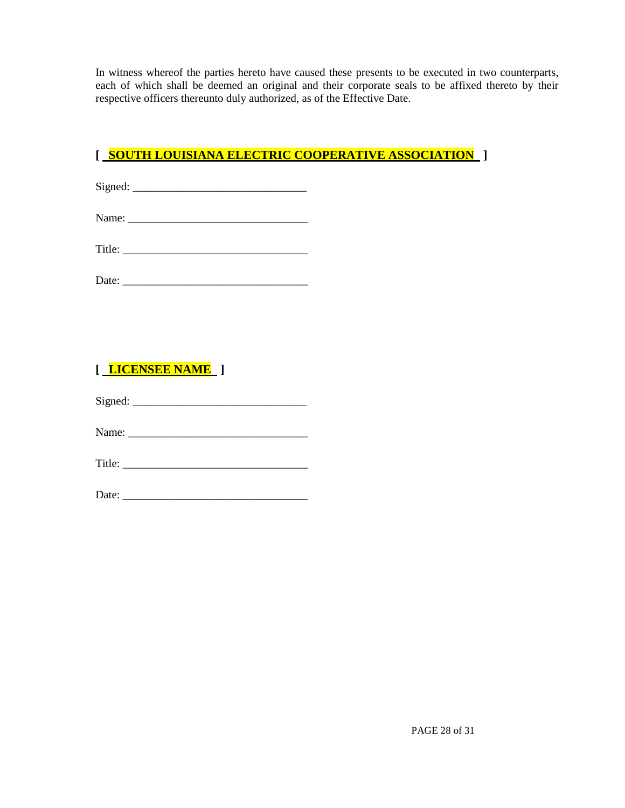In witness whereof the parties hereto have caused these presents to be executed in two counterparts, each of which shall be deemed an original and their corporate seals to be affixed thereto by their respective officers thereunto duly authorized, as of the Effective Date.

### **[ SOUTH LOUISIANA ELECTRIC COOPERATIVE ASSOCIATION ]**

Signed: \_\_\_\_\_\_\_\_\_\_\_\_\_\_\_\_\_\_\_\_\_\_\_\_\_\_\_\_\_\_\_

Name: \_\_\_\_\_\_\_\_\_\_\_\_\_\_\_\_\_\_\_\_\_\_\_\_\_\_\_\_\_\_\_\_

Title:

## **[ LICENSEE NAME ]**

Signed: \_\_\_\_\_\_\_\_\_\_\_\_\_\_\_\_\_\_\_\_\_\_\_\_\_\_\_\_\_\_\_

Name: \_\_\_\_\_\_\_\_\_\_\_\_\_\_\_\_\_\_\_\_\_\_\_\_\_\_\_\_\_\_\_\_

Title: \_\_\_\_\_\_\_\_\_\_\_\_\_\_\_\_\_\_\_\_\_\_\_\_\_\_\_\_\_\_\_\_\_

Date: \_\_\_\_\_\_\_\_\_\_\_\_\_\_\_\_\_\_\_\_\_\_\_\_\_\_\_\_\_\_\_\_\_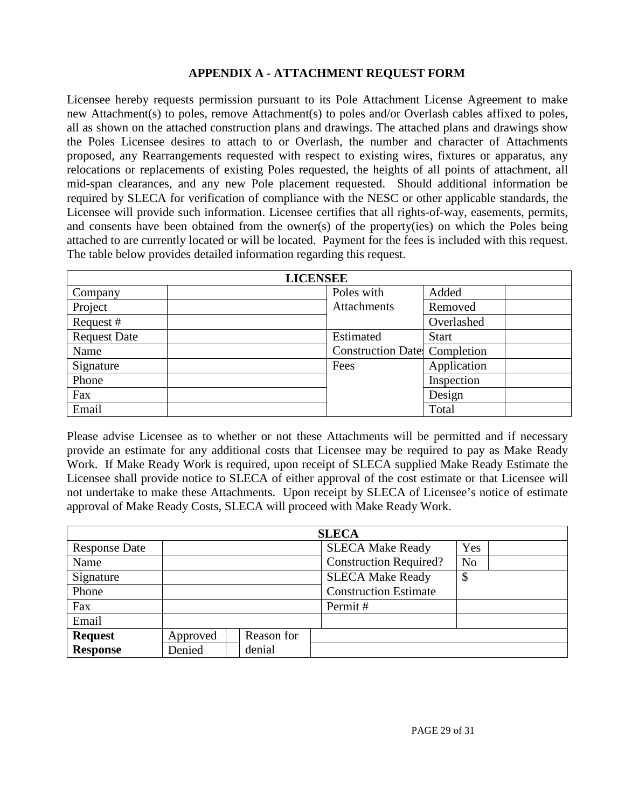#### **APPENDIX A - ATTACHMENT REQUEST FORM**

Licensee hereby requests permission pursuant to its Pole Attachment License Agreement to make new Attachment(s) to poles, remove Attachment(s) to poles and/or Overlash cables affixed to poles, all as shown on the attached construction plans and drawings. The attached plans and drawings show the Poles Licensee desires to attach to or Overlash, the number and character of Attachments proposed, any Rearrangements requested with respect to existing wires, fixtures or apparatus, any relocations or replacements of existing Poles requested, the heights of all points of attachment, all mid-span clearances, and any new Pole placement requested. Should additional information be required by SLECA for verification of compliance with the NESC or other applicable standards, the Licensee will provide such information. Licensee certifies that all rights-of-way, easements, permits, and consents have been obtained from the owner(s) of the property(ies) on which the Poles being attached to are currently located or will be located. Payment for the fees is included with this request. The table below provides detailed information regarding this request.

| <b>LICENSEE</b>     |                                      |              |  |  |  |
|---------------------|--------------------------------------|--------------|--|--|--|
| Company             | Poles with                           | Added        |  |  |  |
| Project             | Attachments                          | Removed      |  |  |  |
| Request #           |                                      | Overlashed   |  |  |  |
| <b>Request Date</b> | Estimated                            | <b>Start</b> |  |  |  |
| Name                | <b>Construction Date:</b> Completion |              |  |  |  |
| Signature           | Fees                                 | Application  |  |  |  |
| Phone               |                                      | Inspection   |  |  |  |
| Fax                 |                                      | Design       |  |  |  |
| Email               |                                      | Total        |  |  |  |

Please advise Licensee as to whether or not these Attachments will be permitted and if necessary provide an estimate for any additional costs that Licensee may be required to pay as Make Ready Work. If Make Ready Work is required, upon receipt of SLECA supplied Make Ready Estimate the Licensee shall provide notice to SLECA of either approval of the cost estimate or that Licensee will not undertake to make these Attachments. Upon receipt by SLECA of Licensee's notice of estimate approval of Make Ready Costs, SLECA will proceed with Make Ready Work.

| <b>SLECA</b>         |          |  |            |  |                               |                           |  |
|----------------------|----------|--|------------|--|-------------------------------|---------------------------|--|
| <b>Response Date</b> |          |  |            |  | <b>SLECA Make Ready</b>       | Yes                       |  |
| Name                 |          |  |            |  | <b>Construction Required?</b> | N <sub>o</sub>            |  |
| Signature            |          |  |            |  | <b>SLECA Make Ready</b>       | $\boldsymbol{\mathsf{S}}$ |  |
| Phone                |          |  |            |  | <b>Construction Estimate</b>  |                           |  |
| Fax                  |          |  |            |  | Permit#                       |                           |  |
| Email                |          |  |            |  |                               |                           |  |
| <b>Request</b>       | Approved |  | Reason for |  |                               |                           |  |
| <b>Response</b>      | Denied   |  | denial     |  |                               |                           |  |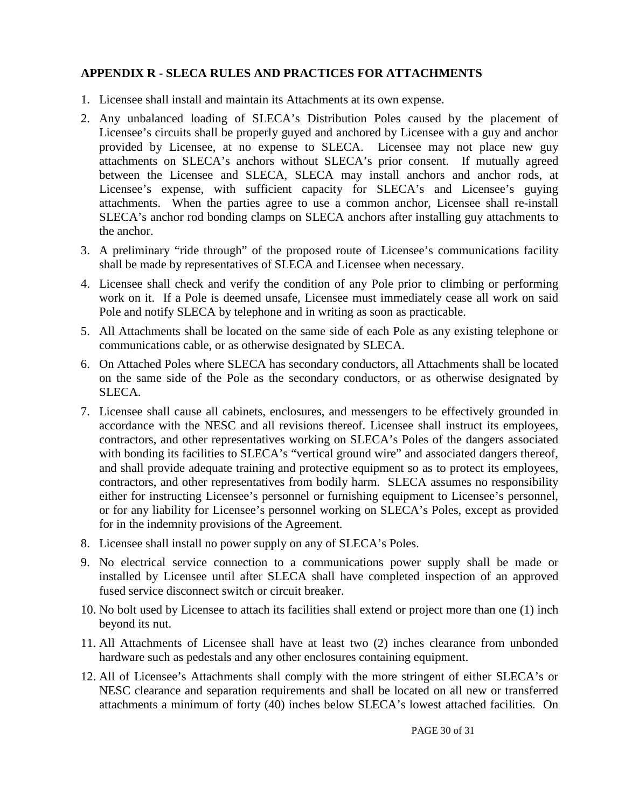#### <span id="page-29-0"></span>**APPENDIX R - SLECA RULES AND PRACTICES FOR ATTACHMENTS**

- 1. Licensee shall install and maintain its Attachments at its own expense.
- 2. Any unbalanced loading of SLECA's Distribution Poles caused by the placement of Licensee's circuits shall be properly guyed and anchored by Licensee with a guy and anchor provided by Licensee, at no expense to SLECA. Licensee may not place new guy attachments on SLECA's anchors without SLECA's prior consent. If mutually agreed between the Licensee and SLECA, SLECA may install anchors and anchor rods, at Licensee's expense, with sufficient capacity for SLECA's and Licensee's guying attachments. When the parties agree to use a common anchor, Licensee shall re-install SLECA's anchor rod bonding clamps on SLECA anchors after installing guy attachments to the anchor.
- 3. A preliminary "ride through" of the proposed route of Licensee's communications facility shall be made by representatives of SLECA and Licensee when necessary.
- 4. Licensee shall check and verify the condition of any Pole prior to climbing or performing work on it. If a Pole is deemed unsafe, Licensee must immediately cease all work on said Pole and notify SLECA by telephone and in writing as soon as practicable.
- 5. All Attachments shall be located on the same side of each Pole as any existing telephone or communications cable, or as otherwise designated by SLECA.
- 6. On Attached Poles where SLECA has secondary conductors, all Attachments shall be located on the same side of the Pole as the secondary conductors, or as otherwise designated by SLECA.
- 7. Licensee shall cause all cabinets, enclosures, and messengers to be effectively grounded in accordance with the NESC and all revisions thereof. Licensee shall instruct its employees, contractors, and other representatives working on SLECA's Poles of the dangers associated with bonding its facilities to SLECA's "vertical ground wire" and associated dangers thereof, and shall provide adequate training and protective equipment so as to protect its employees, contractors, and other representatives from bodily harm. SLECA assumes no responsibility either for instructing Licensee's personnel or furnishing equipment to Licensee's personnel, or for any liability for Licensee's personnel working on SLECA's Poles, except as provided for in the indemnity provisions of the Agreement.
- 8. Licensee shall install no power supply on any of SLECA's Poles.
- 9. No electrical service connection to a communications power supply shall be made or installed by Licensee until after SLECA shall have completed inspection of an approved fused service disconnect switch or circuit breaker.
- 10. No bolt used by Licensee to attach its facilities shall extend or project more than one (1) inch beyond its nut.
- 11. All Attachments of Licensee shall have at least two (2) inches clearance from unbonded hardware such as pedestals and any other enclosures containing equipment.
- 12. All of Licensee's Attachments shall comply with the more stringent of either SLECA's or NESC clearance and separation requirements and shall be located on all new or transferred attachments a minimum of forty (40) inches below SLECA's lowest attached facilities. On